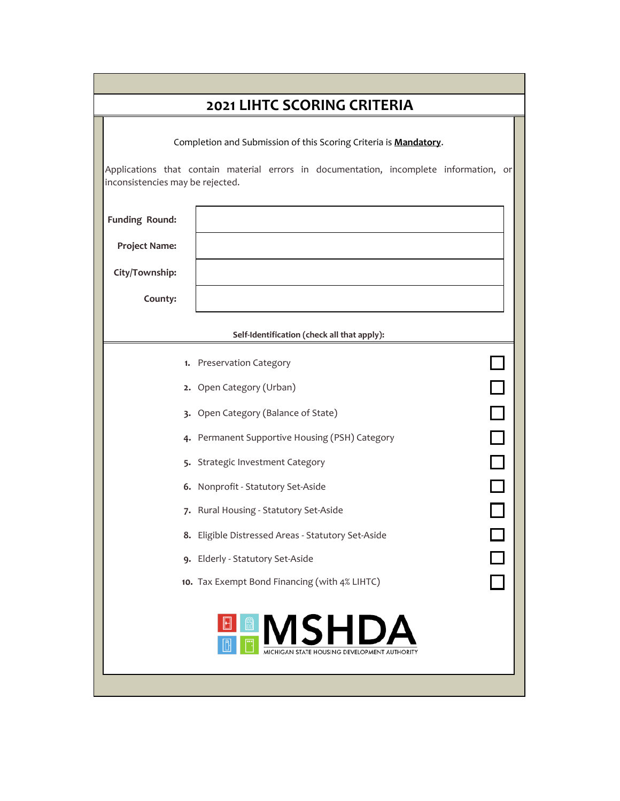| <b>2021 LIHTC SCORING CRITERIA</b> |                                                                                        |  |  |  |  |  |
|------------------------------------|----------------------------------------------------------------------------------------|--|--|--|--|--|
|                                    | Completion and Submission of this Scoring Criteria is <b>Mandatory</b> .               |  |  |  |  |  |
| inconsistencies may be rejected.   | Applications that contain material errors in documentation, incomplete information, or |  |  |  |  |  |
| Funding Round:                     |                                                                                        |  |  |  |  |  |
| <b>Project Name:</b>               |                                                                                        |  |  |  |  |  |
| City/Township:                     |                                                                                        |  |  |  |  |  |
| County:                            |                                                                                        |  |  |  |  |  |
|                                    | Self-Identification (check all that apply):                                            |  |  |  |  |  |
|                                    | 1. Preservation Category                                                               |  |  |  |  |  |
|                                    | U 0 0 0 0 0<br>0 0 0 0 0<br>2. Open Category (Urban)                                   |  |  |  |  |  |
|                                    | 3. Open Category (Balance of State)                                                    |  |  |  |  |  |
|                                    | 4. Permanent Supportive Housing (PSH) Category                                         |  |  |  |  |  |
|                                    | 5. Strategic Investment Category                                                       |  |  |  |  |  |
|                                    | 6. Nonprofit - Statutory Set-Aside                                                     |  |  |  |  |  |
|                                    | 7. Rural Housing - Statutory Set-Aside                                                 |  |  |  |  |  |
|                                    | 8. Eligible Distressed Areas - Statutory Set-Aside                                     |  |  |  |  |  |
|                                    | 9. Elderly - Statutory Set-Aside                                                       |  |  |  |  |  |
|                                    | 10. Tax Exempt Bond Financing (with 4% LIHTC)                                          |  |  |  |  |  |
|                                    | <b>MSHDA</b><br>CHIGAN STATE HOUSING DEVELOPMENT AUTHORITY                             |  |  |  |  |  |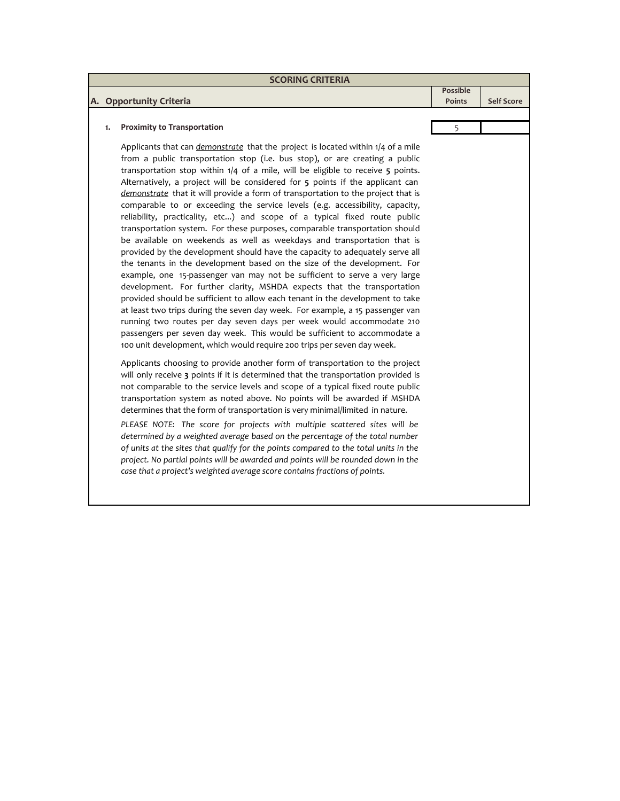| <b>SCORING CRITERIA</b>                                                                                                                                                |                           |                   |  |  |  |
|------------------------------------------------------------------------------------------------------------------------------------------------------------------------|---------------------------|-------------------|--|--|--|
| A. Opportunity Criteria                                                                                                                                                | Possible<br><b>Points</b> | <b>Self Score</b> |  |  |  |
|                                                                                                                                                                        |                           |                   |  |  |  |
| <b>Proximity to Transportation</b>                                                                                                                                     |                           |                   |  |  |  |
| Applicants that can <i>demonstrate</i> that the project is located within 1/4 of a mile<br>from a public transportation stop (i.e. bus stop), or are creating a public |                           |                   |  |  |  |

transportation stop within 1/4 of a mile, will be eligible to receive **5** points. Alternatively, a project will be considered for **5** points if the applicant can *demonstrate* that it will provide a form of transportation to the project that is comparable to or exceeding the service levels (e.g. accessibility, capacity, reliability, practicality, etc...) and scope of a typical fixed route public transportation system. For these purposes, comparable transportation should be available on weekends as well as weekdays and transportation that is provided by the development should have the capacity to adequately serve all the tenants in the development based on the size of the development. For example, one 15-passenger van may not be sufficient to serve a very large development. For further clarity, MSHDA expects that the transportation provided should be sufficient to allow each tenant in the development to take at least two trips during the seven day week. For example, a 15 passenger van running two routes per day seven days per week would accommodate 210 passengers per seven day week. This would be sufficient to accommodate a 100 unit development, which would require 200 trips per seven day week.

Applicants choosing to provide another form of transportation to the project will only receive **3** points if it is determined that the transportation provided is not comparable to the service levels and scope of a typical fixed route public transportation system as noted above. No points will be awarded if MSHDA determines that the form of transportation is very minimal/limited in nature.

*PLEASE NOTE: The score for projects with multiple scattered sites will be determined by a weighted average based on the percentage of the total number of units at the sites that qualify for the points compared to the total units in the project. No partial points will be awarded and points will be rounded down in the case that a project's weighted average score contains fractions of points.*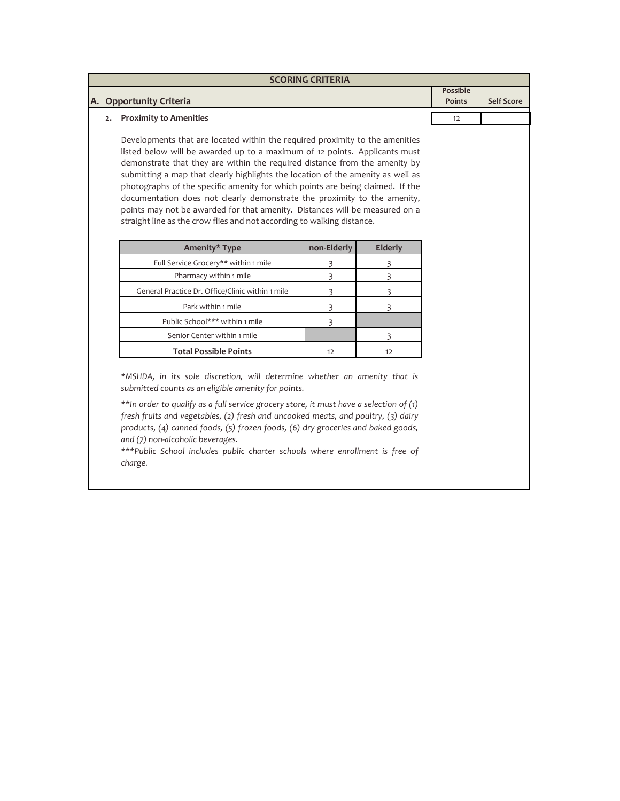| <b>SCORING CRITERIA</b>   |  |                   |
|---------------------------|--|-------------------|
| A. Opportunity Criteria   |  | <b>Self Score</b> |
| 2. Proximity to Amenities |  |                   |

Developments that are located within the required proximity to the amenities listed below will be awarded up to a maximum of 12 points. Applicants must demonstrate that they are within the required distance from the amenity by submitting a map that clearly highlights the location of the amenity as well as photographs of the specific amenity for which points are being claimed. If the documentation does not clearly demonstrate the proximity to the amenity, points may not be awarded for that amenity. Distances will be measured on a straight line as the crow flies and not according to walking distance.

| Amenity* Type                                    | non-Elderly | Elderly |
|--------------------------------------------------|-------------|---------|
| Full Service Grocery** within 1 mile             |             |         |
| Pharmacy within 1 mile                           |             |         |
| General Practice Dr. Office/Clinic within 1 mile |             |         |
| Park within 1 mile                               |             |         |
| Public School*** within 1 mile                   |             |         |
| Senior Center within 1 mile                      |             |         |
| <b>Total Possible Points</b>                     | 12          | 17      |

*\*MSHDA, in its sole discretion, will determine whether an amenity that is submitted counts as an eligible amenity for points.* 

*\*\*In order to qualify as a full service grocery store, it must have a selection of (1) fresh fruits and vegetables, (2) fresh and uncooked meats, and poultry, (3) dairy products, (4) canned foods, (5) frozen foods, (6) dry groceries and baked goods, and (7) non-alcoholic beverages.*

*\*\*\*Public School includes public charter schools where enrollment is free of charge.*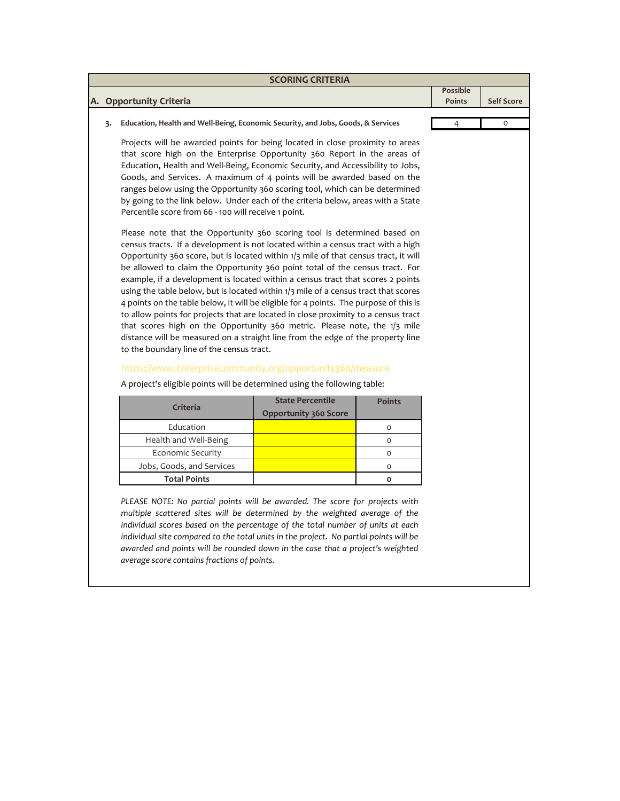|    | <b>SCORING CRITERIA</b>                                                                                                                                                                                                                                                                                                                                                                                                                                                                                                                                                                                                                                                                                                                                                     |                           |                   |
|----|-----------------------------------------------------------------------------------------------------------------------------------------------------------------------------------------------------------------------------------------------------------------------------------------------------------------------------------------------------------------------------------------------------------------------------------------------------------------------------------------------------------------------------------------------------------------------------------------------------------------------------------------------------------------------------------------------------------------------------------------------------------------------------|---------------------------|-------------------|
|    | A. Opportunity Criteria                                                                                                                                                                                                                                                                                                                                                                                                                                                                                                                                                                                                                                                                                                                                                     | Possible<br><b>Points</b> | <b>Self Score</b> |
|    |                                                                                                                                                                                                                                                                                                                                                                                                                                                                                                                                                                                                                                                                                                                                                                             |                           |                   |
| 3. | Education, Health and Well-Being, Economic Security, and Jobs, Goods, & Services                                                                                                                                                                                                                                                                                                                                                                                                                                                                                                                                                                                                                                                                                            | 4                         | 0                 |
|    | Projects will be awarded points for being located in close proximity to areas<br>that score high on the Enterprise Opportunity 360 Report in the areas of<br>Education, Health and Well-Being, Economic Security, and Accessibility to Jobs,<br>Goods, and Services. A maximum of 4 points will be awarded based on the<br>ranges below using the Opportunity 360 scoring tool, which can be determined<br>by going to the link below. Under each of the criteria below, areas with a State<br>Percentile score from 66 - 100 will receive 1 point.                                                                                                                                                                                                                         |                           |                   |
|    | Please note that the Opportunity 360 scoring tool is determined based on<br>census tracts. If a development is not located within a census tract with a high<br>Opportunity 360 score, but is located within 1/3 mile of that census tract, it will<br>be allowed to claim the Opportunity 360 point total of the census tract. For<br>example, if a development is located within a census tract that scores 2 points<br>using the table below, but is located within $1/3$ mile of a census tract that scores<br>4 points on the table below, it will be eligible for 4 points. The purpose of this is<br>to allow points for projects that are located in close proximity to a census tract<br>that scores high on the Opportunity 360 metric. Please note, the 1/3 mile |                           |                   |

# [htt](https://www.enterprisecommunity.org/opportunity360/measure)ps://www.Enterprisecommunity.org/opportunity360/measure

to the boundary line of the census tract.

distance will be measured on a straight line from the edge of the property line

A project's eligible points will be determined using the following table:

| Criteria                  | <b>State Percentile</b>      | <b>Points</b> |
|---------------------------|------------------------------|---------------|
|                           | <b>Opportunity 360 Score</b> |               |
| Education                 |                              |               |
| Health and Well-Being     |                              |               |
| <b>Economic Security</b>  |                              |               |
| Jobs, Goods, and Services |                              |               |
| <b>Total Points</b>       |                              |               |

*PLEASE NOTE: No partial points will be awarded. The score for projects with multiple scattered sites will be determined by the weighted average of the individual scores based on the percentage of the total number of units at each individual site compared to the total units in the project. No partial points will be awarded and points will be rounded down in the case that a project's weighted average score contains fractions of points.*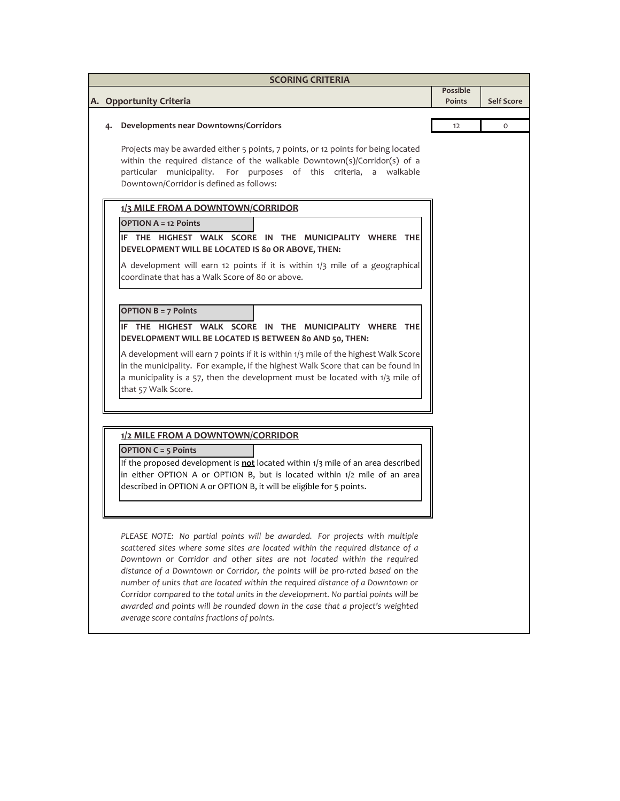| <b>SCORING CRITERIA</b> |                                                                                                                                                                                                                                                                                                                                                                                                                                                                                                                                                                                                                                   |               |                   |  |  |  |
|-------------------------|-----------------------------------------------------------------------------------------------------------------------------------------------------------------------------------------------------------------------------------------------------------------------------------------------------------------------------------------------------------------------------------------------------------------------------------------------------------------------------------------------------------------------------------------------------------------------------------------------------------------------------------|---------------|-------------------|--|--|--|
|                         |                                                                                                                                                                                                                                                                                                                                                                                                                                                                                                                                                                                                                                   | Possible      | <b>Self Score</b> |  |  |  |
|                         | A. Opportunity Criteria                                                                                                                                                                                                                                                                                                                                                                                                                                                                                                                                                                                                           | <b>Points</b> |                   |  |  |  |
| 4.                      | Developments near Downtowns/Corridors                                                                                                                                                                                                                                                                                                                                                                                                                                                                                                                                                                                             | 12            | 0                 |  |  |  |
|                         | Projects may be awarded either 5 points, 7 points, or 12 points for being located<br>within the required distance of the walkable Downtown(s)/Corridor(s) of a<br>particular municipality. For purposes of this criteria, a walkable<br>Downtown/Corridor is defined as follows:                                                                                                                                                                                                                                                                                                                                                  |               |                   |  |  |  |
|                         | 1/3 MILE FROM A DOWNTOWN/CORRIDOR                                                                                                                                                                                                                                                                                                                                                                                                                                                                                                                                                                                                 |               |                   |  |  |  |
|                         | <b>OPTION A = 12 Points</b><br>IF THE HIGHEST WALK SCORE IN THE MUNICIPALITY WHERE THE<br>DEVELOPMENT WILL BE LOCATED IS 80 OR ABOVE, THEN:<br>A development will earn 12 points if it is within 1/3 mile of a geographical<br>coordinate that has a Walk Score of 80 or above.                                                                                                                                                                                                                                                                                                                                                   |               |                   |  |  |  |
|                         | <b>OPTION B = 7 Points</b><br>THE HIGHEST WALK SCORE IN THE MUNICIPALITY WHERE THE<br>IF.<br>DEVELOPMENT WILL BE LOCATED IS BETWEEN 80 AND 50, THEN:<br>A development will earn 7 points if it is within 1/3 mile of the highest Walk Score<br>in the municipality. For example, if the highest Walk Score that can be found in<br>a municipality is a 57, then the development must be located with 1/3 mile of<br>that 57 Walk Score.                                                                                                                                                                                           |               |                   |  |  |  |
|                         | 1/2 MILE FROM A DOWNTOWN/CORRIDOR<br><b>OPTION C = 5 Points</b><br>If the proposed development is not located within 1/3 mile of an area described<br>in either OPTION A or OPTION B, but is located within 1/2 mile of an area<br>described in OPTION A or OPTION B, it will be eligible for 5 points.                                                                                                                                                                                                                                                                                                                           |               |                   |  |  |  |
|                         | PLEASE NOTE: No partial points will be awarded. For projects with multiple<br>scattered sites where some sites are located within the required distance of a<br>Downtown or Corridor and other sites are not located within the required<br>distance of a Downtown or Corridor, the points will be pro-rated based on the<br>number of units that are located within the required distance of a Downtown or<br>Corridor compared to the total units in the development. No partial points will be<br>awarded and points will be rounded down in the case that a project's weighted<br>average score contains fractions of points. |               |                   |  |  |  |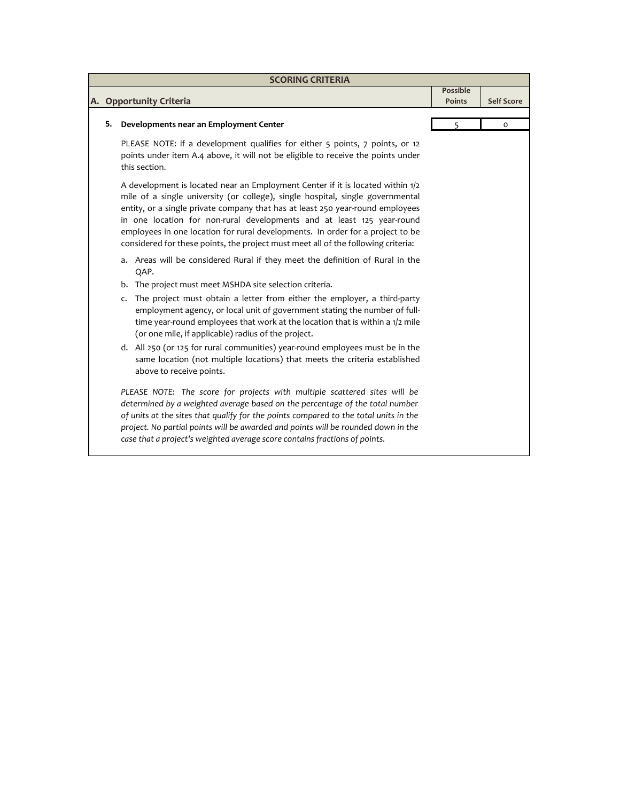| <b>SCORING CRITERIA</b> |                                                                                                                                                                                                                                                                                                                                                                                                                                                                                                     |                 |                   |  |  |
|-------------------------|-----------------------------------------------------------------------------------------------------------------------------------------------------------------------------------------------------------------------------------------------------------------------------------------------------------------------------------------------------------------------------------------------------------------------------------------------------------------------------------------------------|-----------------|-------------------|--|--|
|                         |                                                                                                                                                                                                                                                                                                                                                                                                                                                                                                     | <b>Possible</b> |                   |  |  |
|                         | A. Opportunity Criteria                                                                                                                                                                                                                                                                                                                                                                                                                                                                             | <b>Points</b>   | <b>Self Score</b> |  |  |
| 5.                      |                                                                                                                                                                                                                                                                                                                                                                                                                                                                                                     | 5               | $\circ$           |  |  |
|                         | Developments near an Employment Center                                                                                                                                                                                                                                                                                                                                                                                                                                                              |                 |                   |  |  |
|                         | PLEASE NOTE: if a development qualifies for either 5 points, 7 points, or 12<br>points under item A.4 above, it will not be eligible to receive the points under<br>this section.                                                                                                                                                                                                                                                                                                                   |                 |                   |  |  |
|                         | A development is located near an Employment Center if it is located within 1/2<br>mile of a single university (or college), single hospital, single governmental<br>entity, or a single private company that has at least 250 year-round employees<br>in one location for non-rural developments and at least 125 year-round<br>employees in one location for rural developments. In order for a project to be<br>considered for these points, the project must meet all of the following criteria: |                 |                   |  |  |
|                         | a. Areas will be considered Rural if they meet the definition of Rural in the<br>QAP.                                                                                                                                                                                                                                                                                                                                                                                                               |                 |                   |  |  |
|                         | The project must meet MSHDA site selection criteria.<br>b.                                                                                                                                                                                                                                                                                                                                                                                                                                          |                 |                   |  |  |
|                         | The project must obtain a letter from either the employer, a third-party<br>c.<br>employment agency, or local unit of government stating the number of full-<br>time year-round employees that work at the location that is within a 1/2 mile<br>(or one mile, if applicable) radius of the project.                                                                                                                                                                                                |                 |                   |  |  |
|                         | d. All 250 (or 125 for rural communities) year-round employees must be in the<br>same location (not multiple locations) that meets the criteria established<br>above to receive points.                                                                                                                                                                                                                                                                                                             |                 |                   |  |  |
|                         | PLEASE NOTE: The score for projects with multiple scattered sites will be<br>determined by a weighted average based on the percentage of the total number<br>of units at the sites that qualify for the points compared to the total units in the<br>project. No partial points will be awarded and points will be rounded down in the<br>case that a project's weighted average score contains fractions of points.                                                                                |                 |                   |  |  |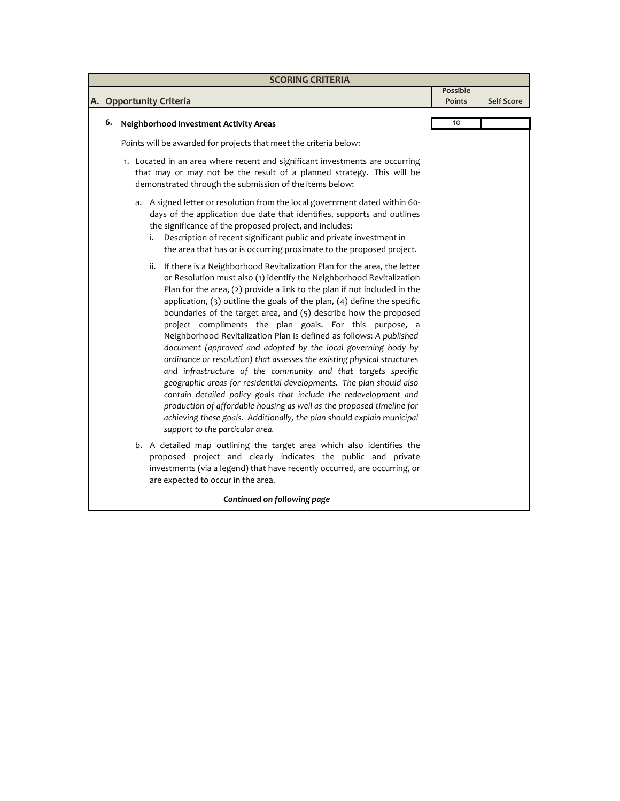| <b>SCORING CRITERIA</b> |                                                                                                                                                                                                                                                                                                                                                                                                                                                                                                                                                                                                                                                                                                                                                                                                                                                                                                                                                                                                                                                                       |                           |                   |  |  |
|-------------------------|-----------------------------------------------------------------------------------------------------------------------------------------------------------------------------------------------------------------------------------------------------------------------------------------------------------------------------------------------------------------------------------------------------------------------------------------------------------------------------------------------------------------------------------------------------------------------------------------------------------------------------------------------------------------------------------------------------------------------------------------------------------------------------------------------------------------------------------------------------------------------------------------------------------------------------------------------------------------------------------------------------------------------------------------------------------------------|---------------------------|-------------------|--|--|
|                         | A. Opportunity Criteria                                                                                                                                                                                                                                                                                                                                                                                                                                                                                                                                                                                                                                                                                                                                                                                                                                                                                                                                                                                                                                               | <b>Possible</b><br>Points | <b>Self Score</b> |  |  |
|                         |                                                                                                                                                                                                                                                                                                                                                                                                                                                                                                                                                                                                                                                                                                                                                                                                                                                                                                                                                                                                                                                                       |                           |                   |  |  |
| 6.                      | <b>Neighborhood Investment Activity Areas</b>                                                                                                                                                                                                                                                                                                                                                                                                                                                                                                                                                                                                                                                                                                                                                                                                                                                                                                                                                                                                                         | 10                        |                   |  |  |
|                         | Points will be awarded for projects that meet the criteria below:                                                                                                                                                                                                                                                                                                                                                                                                                                                                                                                                                                                                                                                                                                                                                                                                                                                                                                                                                                                                     |                           |                   |  |  |
|                         | 1. Located in an area where recent and significant investments are occurring<br>that may or may not be the result of a planned strategy. This will be<br>demonstrated through the submission of the items below:                                                                                                                                                                                                                                                                                                                                                                                                                                                                                                                                                                                                                                                                                                                                                                                                                                                      |                           |                   |  |  |
|                         | a. A signed letter or resolution from the local government dated within 60-<br>days of the application due date that identifies, supports and outlines<br>the significance of the proposed project, and includes:<br>Description of recent significant public and private investment in<br>i.<br>the area that has or is occurring proximate to the proposed project.                                                                                                                                                                                                                                                                                                                                                                                                                                                                                                                                                                                                                                                                                                 |                           |                   |  |  |
|                         | If there is a Neighborhood Revitalization Plan for the area, the letter<br>ii.<br>or Resolution must also (1) identify the Neighborhood Revitalization<br>Plan for the area, (2) provide a link to the plan if not included in the<br>application, $(3)$ outline the goals of the plan, $(4)$ define the specific<br>boundaries of the target area, and (5) describe how the proposed<br>project compliments the plan goals. For this purpose, a<br>Neighborhood Revitalization Plan is defined as follows: A published<br>document (approved and adopted by the local governing body by<br>ordinance or resolution) that assesses the existing physical structures<br>and infrastructure of the community and that targets specific<br>geographic areas for residential developments. The plan should also<br>contain detailed policy goals that include the redevelopment and<br>production of affordable housing as well as the proposed timeline for<br>achieving these goals. Additionally, the plan should explain municipal<br>support to the particular area. |                           |                   |  |  |
|                         | b. A detailed map outlining the target area which also identifies the<br>proposed project and clearly indicates the public and private<br>investments (via a legend) that have recently occurred, are occurring, or<br>are expected to occur in the area.                                                                                                                                                                                                                                                                                                                                                                                                                                                                                                                                                                                                                                                                                                                                                                                                             |                           |                   |  |  |
|                         | Continued on following page                                                                                                                                                                                                                                                                                                                                                                                                                                                                                                                                                                                                                                                                                                                                                                                                                                                                                                                                                                                                                                           |                           |                   |  |  |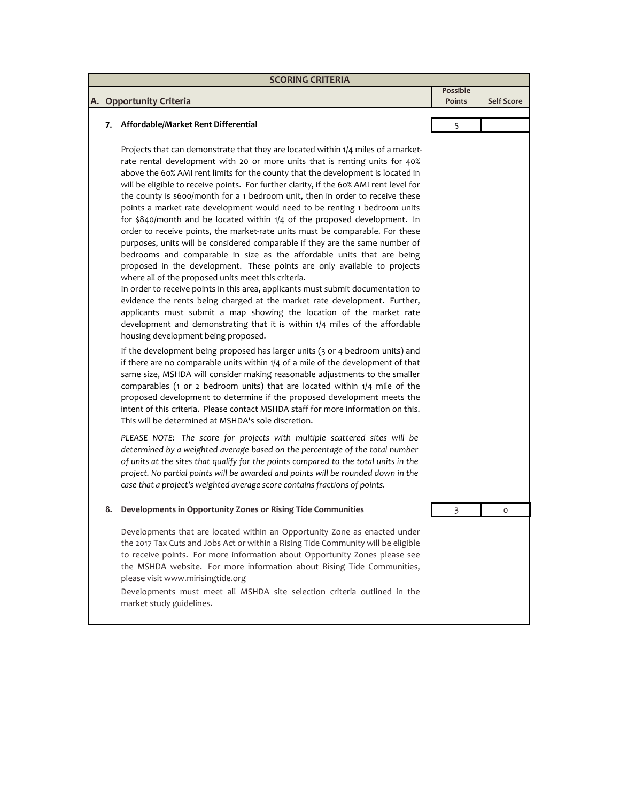| <b>SCORING CRITERIA</b> |                                                                                                                                                                                                                                                                                                                                                                                                                                                                                                                                                                                                                                                                                                                                                                                                                                                                                                                                                                                                                                                                                                                                                                                                                                                                                                                                       |                                  |                   |  |
|-------------------------|---------------------------------------------------------------------------------------------------------------------------------------------------------------------------------------------------------------------------------------------------------------------------------------------------------------------------------------------------------------------------------------------------------------------------------------------------------------------------------------------------------------------------------------------------------------------------------------------------------------------------------------------------------------------------------------------------------------------------------------------------------------------------------------------------------------------------------------------------------------------------------------------------------------------------------------------------------------------------------------------------------------------------------------------------------------------------------------------------------------------------------------------------------------------------------------------------------------------------------------------------------------------------------------------------------------------------------------|----------------------------------|-------------------|--|
|                         | A. Opportunity Criteria                                                                                                                                                                                                                                                                                                                                                                                                                                                                                                                                                                                                                                                                                                                                                                                                                                                                                                                                                                                                                                                                                                                                                                                                                                                                                                               | <b>Possible</b><br><b>Points</b> | <b>Self Score</b> |  |
|                         |                                                                                                                                                                                                                                                                                                                                                                                                                                                                                                                                                                                                                                                                                                                                                                                                                                                                                                                                                                                                                                                                                                                                                                                                                                                                                                                                       |                                  |                   |  |
| 7.                      | Affordable/Market Rent Differential                                                                                                                                                                                                                                                                                                                                                                                                                                                                                                                                                                                                                                                                                                                                                                                                                                                                                                                                                                                                                                                                                                                                                                                                                                                                                                   | 5                                |                   |  |
|                         | Projects that can demonstrate that they are located within 1/4 miles of a market-<br>rate rental development with 20 or more units that is renting units for 40%<br>above the 60% AMI rent limits for the county that the development is located in<br>will be eligible to receive points. For further clarity, if the 60% AMI rent level for<br>the county is \$600/month for a 1 bedroom unit, then in order to receive these<br>points a market rate development would need to be renting 1 bedroom units<br>for \$840/month and be located within 1/4 of the proposed development. In<br>order to receive points, the market-rate units must be comparable. For these<br>purposes, units will be considered comparable if they are the same number of<br>bedrooms and comparable in size as the affordable units that are being<br>proposed in the development. These points are only available to projects<br>where all of the proposed units meet this criteria.<br>In order to receive points in this area, applicants must submit documentation to<br>evidence the rents being charged at the market rate development. Further,<br>applicants must submit a map showing the location of the market rate<br>development and demonstrating that it is within 1/4 miles of the affordable<br>housing development being proposed. |                                  |                   |  |
|                         | If the development being proposed has larger units (3 or 4 bedroom units) and<br>if there are no comparable units within $1/4$ of a mile of the development of that<br>same size, MSHDA will consider making reasonable adjustments to the smaller<br>comparables (1 or 2 bedroom units) that are located within 1/4 mile of the<br>proposed development to determine if the proposed development meets the<br>intent of this criteria. Please contact MSHDA staff for more information on this.<br>This will be determined at MSHDA's sole discretion.                                                                                                                                                                                                                                                                                                                                                                                                                                                                                                                                                                                                                                                                                                                                                                               |                                  |                   |  |
|                         | PLEASE NOTE: The score for projects with multiple scattered sites will be<br>determined by a weighted average based on the percentage of the total number<br>of units at the sites that qualify for the points compared to the total units in the<br>project. No partial points will be awarded and points will be rounded down in the<br>case that a project's weighted average score contains fractions of points.                                                                                                                                                                                                                                                                                                                                                                                                                                                                                                                                                                                                                                                                                                                                                                                                                                                                                                                  |                                  |                   |  |
| 8.                      | Developments in Opportunity Zones or Rising Tide Communities                                                                                                                                                                                                                                                                                                                                                                                                                                                                                                                                                                                                                                                                                                                                                                                                                                                                                                                                                                                                                                                                                                                                                                                                                                                                          | 3                                | 0                 |  |
|                         | Developments that are located within an Opportunity Zone as enacted under<br>the 2017 Tax Cuts and Jobs Act or within a Rising Tide Community will be eligible<br>to receive points. For more information about Opportunity Zones please see<br>the MSHDA website. For more information about Rising Tide Communities,<br>please visit www.mirisingtide.org<br>Developments must meet all MSHDA site selection criteria outlined in the<br>market study guidelines.                                                                                                                                                                                                                                                                                                                                                                                                                                                                                                                                                                                                                                                                                                                                                                                                                                                                   |                                  |                   |  |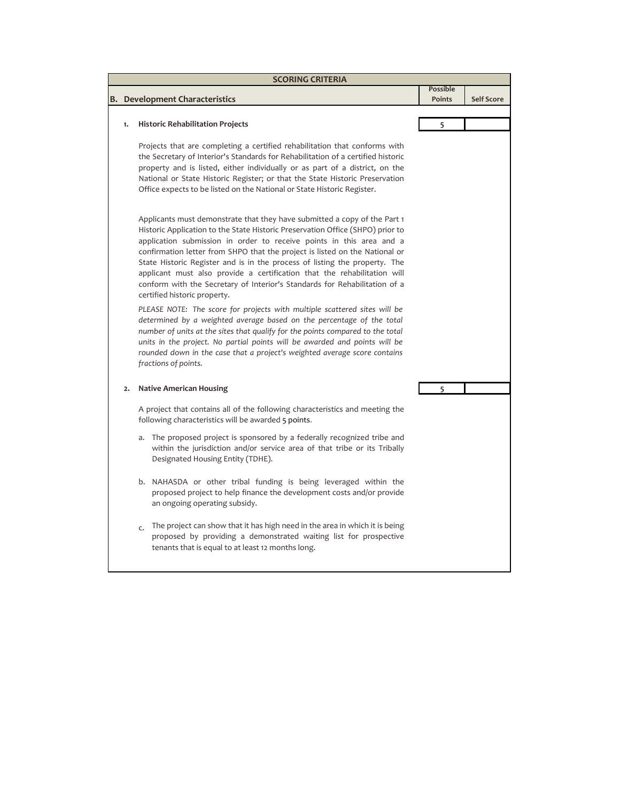| <b>SCORING CRITERIA</b> |                                                                                                                                                                                                                                                                                                                                                                                                                                                                                                                                                                                            |                                  |                   |  |  |
|-------------------------|--------------------------------------------------------------------------------------------------------------------------------------------------------------------------------------------------------------------------------------------------------------------------------------------------------------------------------------------------------------------------------------------------------------------------------------------------------------------------------------------------------------------------------------------------------------------------------------------|----------------------------------|-------------------|--|--|
|                         | <b>B.</b> Development Characteristics                                                                                                                                                                                                                                                                                                                                                                                                                                                                                                                                                      | <b>Possible</b><br><b>Points</b> | <b>Self Score</b> |  |  |
|                         |                                                                                                                                                                                                                                                                                                                                                                                                                                                                                                                                                                                            |                                  |                   |  |  |
| 1.                      | <b>Historic Rehabilitation Projects</b>                                                                                                                                                                                                                                                                                                                                                                                                                                                                                                                                                    | 5                                |                   |  |  |
|                         | Projects that are completing a certified rehabilitation that conforms with<br>the Secretary of Interior's Standards for Rehabilitation of a certified historic<br>property and is listed, either individually or as part of a district, on the<br>National or State Historic Register; or that the State Historic Preservation<br>Office expects to be listed on the National or State Historic Register.                                                                                                                                                                                  |                                  |                   |  |  |
|                         | Applicants must demonstrate that they have submitted a copy of the Part 1<br>Historic Application to the State Historic Preservation Office (SHPO) prior to<br>application submission in order to receive points in this area and a<br>confirmation letter from SHPO that the project is listed on the National or<br>State Historic Register and is in the process of listing the property. The<br>applicant must also provide a certification that the rehabilitation will<br>conform with the Secretary of Interior's Standards for Rehabilitation of a<br>certified historic property. |                                  |                   |  |  |
|                         | PLEASE NOTE: The score for projects with multiple scattered sites will be<br>determined by a weighted average based on the percentage of the total<br>number of units at the sites that qualify for the points compared to the total<br>units in the project. No partial points will be awarded and points will be<br>rounded down in the case that a project's weighted average score contains<br>fractions of points.                                                                                                                                                                    |                                  |                   |  |  |
| $\overline{2}$ .        | <b>Native American Housing</b>                                                                                                                                                                                                                                                                                                                                                                                                                                                                                                                                                             | 5                                |                   |  |  |
|                         | A project that contains all of the following characteristics and meeting the<br>following characteristics will be awarded 5 points.                                                                                                                                                                                                                                                                                                                                                                                                                                                        |                                  |                   |  |  |
|                         | The proposed project is sponsored by a federally recognized tribe and<br>a.<br>within the jurisdiction and/or service area of that tribe or its Tribally<br>Designated Housing Entity (TDHE).                                                                                                                                                                                                                                                                                                                                                                                              |                                  |                   |  |  |
|                         | b. NAHASDA or other tribal funding is being leveraged within the<br>proposed project to help finance the development costs and/or provide<br>an ongoing operating subsidy.                                                                                                                                                                                                                                                                                                                                                                                                                 |                                  |                   |  |  |
|                         | The project can show that it has high need in the area in which it is being<br>$\mathsf{C}$ .<br>proposed by providing a demonstrated waiting list for prospective<br>tenants that is equal to at least 12 months long.                                                                                                                                                                                                                                                                                                                                                                    |                                  |                   |  |  |
|                         |                                                                                                                                                                                                                                                                                                                                                                                                                                                                                                                                                                                            |                                  |                   |  |  |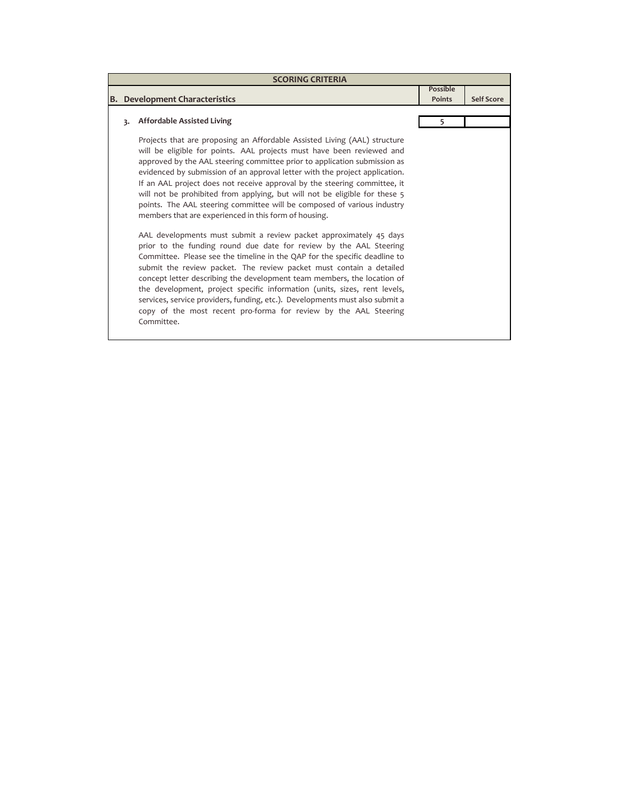| <b>SCORING CRITERIA</b> |                                                                                                                                                                                                                                                                                                                                                                                                                                                                                                                                                                                                                                                                                                                                                                                                                                                                                                                                                                                                                                                                                                                                                                                                                                          |                                  |                   |  |
|-------------------------|------------------------------------------------------------------------------------------------------------------------------------------------------------------------------------------------------------------------------------------------------------------------------------------------------------------------------------------------------------------------------------------------------------------------------------------------------------------------------------------------------------------------------------------------------------------------------------------------------------------------------------------------------------------------------------------------------------------------------------------------------------------------------------------------------------------------------------------------------------------------------------------------------------------------------------------------------------------------------------------------------------------------------------------------------------------------------------------------------------------------------------------------------------------------------------------------------------------------------------------|----------------------------------|-------------------|--|
|                         | <b>B.</b> Development Characteristics                                                                                                                                                                                                                                                                                                                                                                                                                                                                                                                                                                                                                                                                                                                                                                                                                                                                                                                                                                                                                                                                                                                                                                                                    | <b>Possible</b><br><b>Points</b> | <b>Self Score</b> |  |
|                         |                                                                                                                                                                                                                                                                                                                                                                                                                                                                                                                                                                                                                                                                                                                                                                                                                                                                                                                                                                                                                                                                                                                                                                                                                                          |                                  |                   |  |
| 3.                      | <b>Affordable Assisted Living</b>                                                                                                                                                                                                                                                                                                                                                                                                                                                                                                                                                                                                                                                                                                                                                                                                                                                                                                                                                                                                                                                                                                                                                                                                        | 5                                |                   |  |
|                         | Projects that are proposing an Affordable Assisted Living (AAL) structure<br>will be eligible for points. AAL projects must have been reviewed and<br>approved by the AAL steering committee prior to application submission as<br>evidenced by submission of an approval letter with the project application.<br>If an AAL project does not receive approval by the steering committee, it<br>will not be prohibited from applying, but will not be eligible for these 5<br>points. The AAL steering committee will be composed of various industry<br>members that are experienced in this form of housing.<br>AAL developments must submit a review packet approximately 45 days<br>prior to the funding round due date for review by the AAL Steering<br>Committee. Please see the timeline in the QAP for the specific deadline to<br>submit the review packet. The review packet must contain a detailed<br>concept letter describing the development team members, the location of<br>the development, project specific information (units, sizes, rent levels,<br>services, service providers, funding, etc.). Developments must also submit a<br>copy of the most recent pro-forma for review by the AAL Steering<br>Committee. |                                  |                   |  |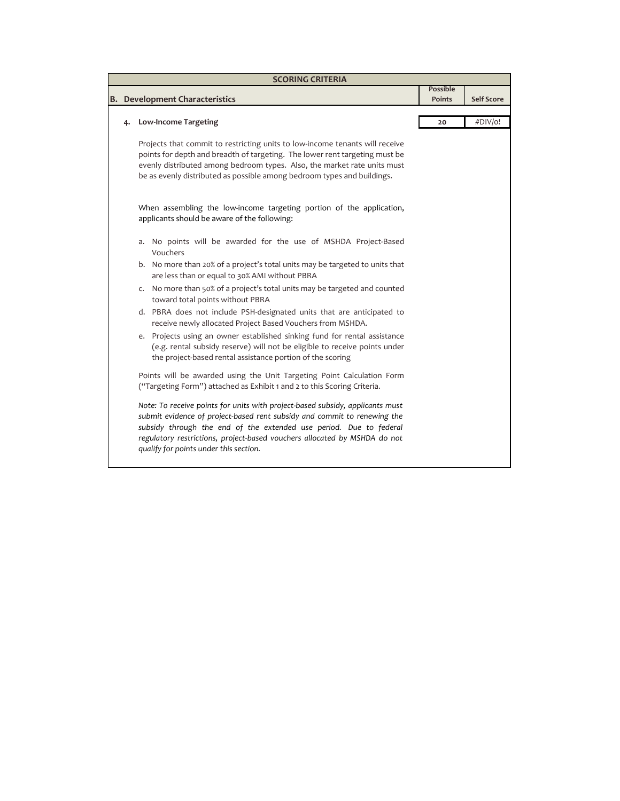|  | <b>SCORING CRITERIA</b>                                                                                                                                                                                                                                                                                                                                |                           |                   |
|--|--------------------------------------------------------------------------------------------------------------------------------------------------------------------------------------------------------------------------------------------------------------------------------------------------------------------------------------------------------|---------------------------|-------------------|
|  | <b>B.</b> Development Characteristics                                                                                                                                                                                                                                                                                                                  | <b>Possible</b><br>Points | <b>Self Score</b> |
|  | <b>Low-Income Targeting</b>                                                                                                                                                                                                                                                                                                                            | 20                        | #DIV/o!           |
|  | Projects that commit to restricting units to low-income tenants will receive<br>points for depth and breadth of targeting. The lower rent targeting must be<br>evenly distributed among bedroom types. Also, the market rate units must<br>be as evenly distributed as possible among bedroom types and buildings.                                     |                           |                   |
|  | When assembling the low-income targeting portion of the application,<br>applicants should be aware of the following:                                                                                                                                                                                                                                   |                           |                   |
|  | a. No points will be awarded for the use of MSHDA Project-Based<br>Vouchers                                                                                                                                                                                                                                                                            |                           |                   |
|  | b. No more than 20% of a project's total units may be targeted to units that<br>are less than or equal to 30% AMI without PBRA                                                                                                                                                                                                                         |                           |                   |
|  | c. No more than 50% of a project's total units may be targeted and counted<br>toward total points without PBRA                                                                                                                                                                                                                                         |                           |                   |
|  | d. PBRA does not include PSH-designated units that are anticipated to<br>receive newly allocated Project Based Vouchers from MSHDA.                                                                                                                                                                                                                    |                           |                   |
|  | e. Projects using an owner established sinking fund for rental assistance<br>(e.g. rental subsidy reserve) will not be eligible to receive points under<br>the project-based rental assistance portion of the scoring                                                                                                                                  |                           |                   |
|  | Points will be awarded using the Unit Targeting Point Calculation Form<br>("Targeting Form") attached as Exhibit 1 and 2 to this Scoring Criteria.                                                                                                                                                                                                     |                           |                   |
|  | Note: To receive points for units with project-based subsidy, applicants must<br>submit evidence of project-based rent subsidy and commit to renewing the<br>subsidy through the end of the extended use period. Due to federal<br>regulatory restrictions, project-based vouchers allocated by MSHDA do not<br>qualify for points under this section. |                           |                   |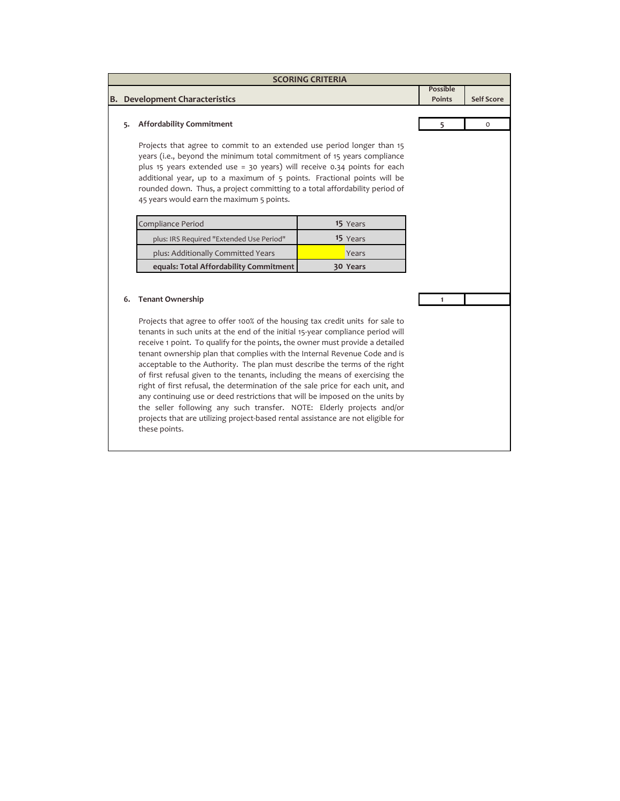|    |                                                                                                                                                                                                                                                                                                                                                                                                                                                                                                                                                                                                                                                                                                                                                                                                                                                                        | <b>SCORING CRITERIA</b> |                                  |                   |
|----|------------------------------------------------------------------------------------------------------------------------------------------------------------------------------------------------------------------------------------------------------------------------------------------------------------------------------------------------------------------------------------------------------------------------------------------------------------------------------------------------------------------------------------------------------------------------------------------------------------------------------------------------------------------------------------------------------------------------------------------------------------------------------------------------------------------------------------------------------------------------|-------------------------|----------------------------------|-------------------|
|    | <b>B.</b> Development Characteristics                                                                                                                                                                                                                                                                                                                                                                                                                                                                                                                                                                                                                                                                                                                                                                                                                                  |                         | <b>Possible</b><br><b>Points</b> | <b>Self Score</b> |
| 5. | <b>Affordability Commitment</b>                                                                                                                                                                                                                                                                                                                                                                                                                                                                                                                                                                                                                                                                                                                                                                                                                                        |                         | 5                                | $\Omega$          |
|    | Projects that agree to commit to an extended use period longer than 15<br>years (i.e., beyond the minimum total commitment of 15 years compliance<br>plus 15 years extended use = 30 years) will receive 0.34 points for each<br>additional year, up to a maximum of 5 points. Fractional points will be<br>rounded down. Thus, a project committing to a total affordability period of<br>45 years would earn the maximum 5 points.                                                                                                                                                                                                                                                                                                                                                                                                                                   |                         |                                  |                   |
|    | Compliance Period                                                                                                                                                                                                                                                                                                                                                                                                                                                                                                                                                                                                                                                                                                                                                                                                                                                      | 15 Years                |                                  |                   |
|    | plus: IRS Required "Extended Use Period"                                                                                                                                                                                                                                                                                                                                                                                                                                                                                                                                                                                                                                                                                                                                                                                                                               | 15 Years                |                                  |                   |
|    | plus: Additionally Committed Years                                                                                                                                                                                                                                                                                                                                                                                                                                                                                                                                                                                                                                                                                                                                                                                                                                     | Years                   |                                  |                   |
|    | equals: Total Affordability Commitment                                                                                                                                                                                                                                                                                                                                                                                                                                                                                                                                                                                                                                                                                                                                                                                                                                 | 30 Years                |                                  |                   |
| 6. | <b>Tenant Ownership</b><br>Projects that agree to offer 100% of the housing tax credit units for sale to<br>tenants in such units at the end of the initial 15-year compliance period will<br>receive 1 point. To qualify for the points, the owner must provide a detailed<br>tenant ownership plan that complies with the Internal Revenue Code and is<br>acceptable to the Authority. The plan must describe the terms of the right<br>of first refusal given to the tenants, including the means of exercising the<br>right of first refusal, the determination of the sale price for each unit, and<br>any continuing use or deed restrictions that will be imposed on the units by<br>the seller following any such transfer. NOTE: Elderly projects and/or<br>projects that are utilizing project-based rental assistance are not eligible for<br>these points. |                         | $\mathbf{1}$                     |                   |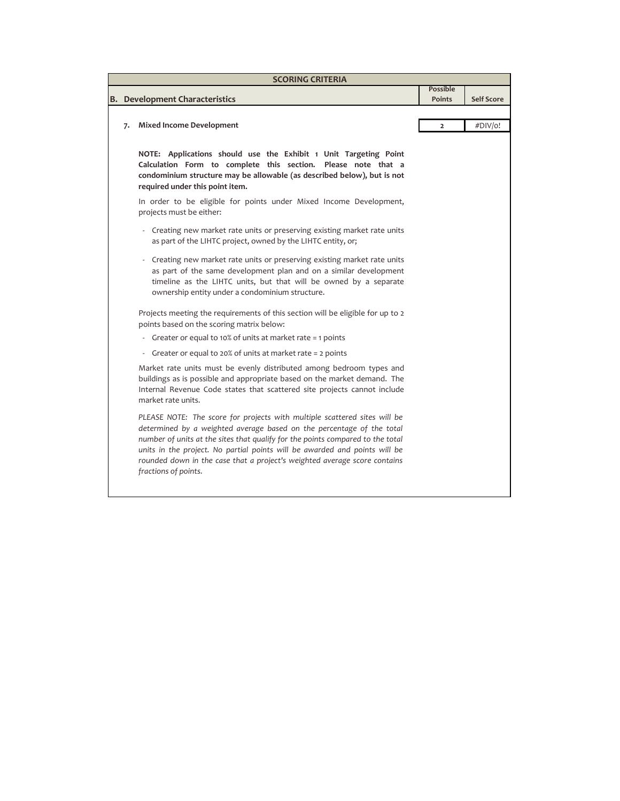|    | <b>SCORING CRITERIA</b>                                                                                                                                                                                                                                                                                                                                                                                                 |                                  |                   |
|----|-------------------------------------------------------------------------------------------------------------------------------------------------------------------------------------------------------------------------------------------------------------------------------------------------------------------------------------------------------------------------------------------------------------------------|----------------------------------|-------------------|
|    | <b>B.</b> Development Characteristics                                                                                                                                                                                                                                                                                                                                                                                   | <b>Possible</b><br><b>Points</b> | <b>Self Score</b> |
|    |                                                                                                                                                                                                                                                                                                                                                                                                                         |                                  |                   |
| 7. | <b>Mixed Income Development</b>                                                                                                                                                                                                                                                                                                                                                                                         | $\overline{2}$                   | #DIV/o!           |
|    | NOTE: Applications should use the Exhibit 1 Unit Targeting Point<br>Calculation Form to complete this section. Please note that a<br>condominium structure may be allowable (as described below), but is not<br>required under this point item.                                                                                                                                                                         |                                  |                   |
|    | In order to be eligible for points under Mixed Income Development,<br>projects must be either:                                                                                                                                                                                                                                                                                                                          |                                  |                   |
|    | - Creating new market rate units or preserving existing market rate units<br>as part of the LIHTC project, owned by the LIHTC entity, or;                                                                                                                                                                                                                                                                               |                                  |                   |
|    | Creating new market rate units or preserving existing market rate units<br>$\overline{\phantom{a}}$<br>as part of the same development plan and on a similar development<br>timeline as the LIHTC units, but that will be owned by a separate<br>ownership entity under a condominium structure.                                                                                                                        |                                  |                   |
|    | Projects meeting the requirements of this section will be eligible for up to 2<br>points based on the scoring matrix below:                                                                                                                                                                                                                                                                                             |                                  |                   |
|    | Greater or equal to 10% of units at market rate = 1 points                                                                                                                                                                                                                                                                                                                                                              |                                  |                   |
|    | Greater or equal to 20% of units at market rate = 2 points<br>$\overline{\phantom{a}}$                                                                                                                                                                                                                                                                                                                                  |                                  |                   |
|    | Market rate units must be evenly distributed among bedroom types and<br>buildings as is possible and appropriate based on the market demand. The<br>Internal Revenue Code states that scattered site projects cannot include<br>market rate units.                                                                                                                                                                      |                                  |                   |
|    | PLEASE NOTE: The score for projects with multiple scattered sites will be<br>determined by a weighted average based on the percentage of the total<br>number of units at the sites that qualify for the points compared to the total<br>units in the project. No partial points will be awarded and points will be<br>rounded down in the case that a project's weighted average score contains<br>fractions of points. |                                  |                   |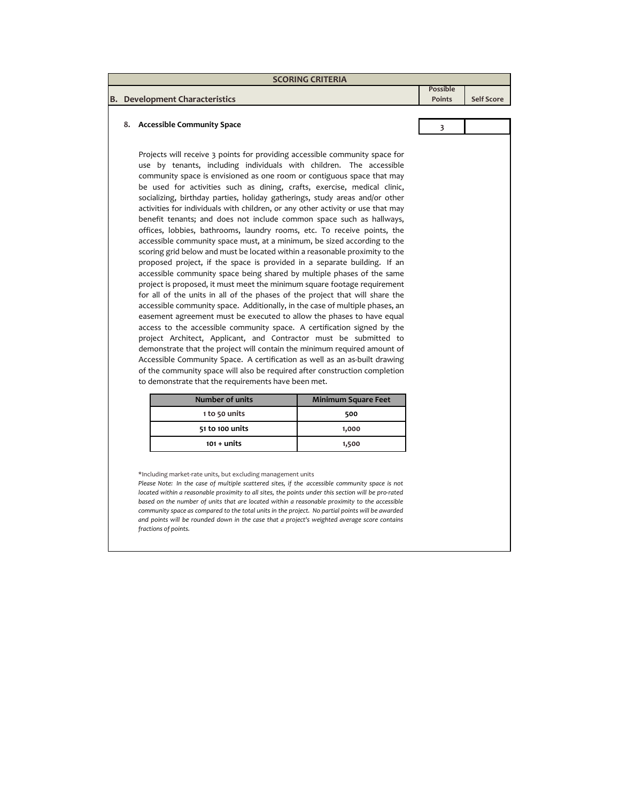|  | <b>SCORING CRITERIA</b>                                                                                                                                                                                                                                                                                                                                                                                                                                                                                                                                                                                                                                                                                                                                                                                                                                                                                                                                                                                                                                                                                                                                                                                                                                                                                                                                                                                                                                                                                                                                                                                                                                                                                            |                                  |                   |
|--|--------------------------------------------------------------------------------------------------------------------------------------------------------------------------------------------------------------------------------------------------------------------------------------------------------------------------------------------------------------------------------------------------------------------------------------------------------------------------------------------------------------------------------------------------------------------------------------------------------------------------------------------------------------------------------------------------------------------------------------------------------------------------------------------------------------------------------------------------------------------------------------------------------------------------------------------------------------------------------------------------------------------------------------------------------------------------------------------------------------------------------------------------------------------------------------------------------------------------------------------------------------------------------------------------------------------------------------------------------------------------------------------------------------------------------------------------------------------------------------------------------------------------------------------------------------------------------------------------------------------------------------------------------------------------------------------------------------------|----------------------------------|-------------------|
|  |                                                                                                                                                                                                                                                                                                                                                                                                                                                                                                                                                                                                                                                                                                                                                                                                                                                                                                                                                                                                                                                                                                                                                                                                                                                                                                                                                                                                                                                                                                                                                                                                                                                                                                                    | <b>Possible</b><br><b>Points</b> | <b>Self Score</b> |
|  | <b>B.</b> Development Characteristics                                                                                                                                                                                                                                                                                                                                                                                                                                                                                                                                                                                                                                                                                                                                                                                                                                                                                                                                                                                                                                                                                                                                                                                                                                                                                                                                                                                                                                                                                                                                                                                                                                                                              |                                  |                   |
|  | 8. Accessible Community Space                                                                                                                                                                                                                                                                                                                                                                                                                                                                                                                                                                                                                                                                                                                                                                                                                                                                                                                                                                                                                                                                                                                                                                                                                                                                                                                                                                                                                                                                                                                                                                                                                                                                                      | 3                                |                   |
|  | Projects will receive 3 points for providing accessible community space for<br>use by tenants, including individuals with children. The accessible<br>community space is envisioned as one room or contiguous space that may<br>be used for activities such as dining, crafts, exercise, medical clinic,<br>socializing, birthday parties, holiday gatherings, study areas and/or other<br>activities for individuals with children, or any other activity or use that may<br>benefit tenants; and does not include common space such as hallways,<br>offices, lobbies, bathrooms, laundry rooms, etc. To receive points, the<br>accessible community space must, at a minimum, be sized according to the<br>scoring grid below and must be located within a reasonable proximity to the<br>proposed project, if the space is provided in a separate building. If an<br>accessible community space being shared by multiple phases of the same<br>project is proposed, it must meet the minimum square footage requirement<br>for all of the units in all of the phases of the project that will share the<br>accessible community space. Additionally, in the case of multiple phases, an<br>easement agreement must be executed to allow the phases to have equal<br>access to the accessible community space. A certification signed by the<br>project Architect, Applicant, and Contractor must be submitted to<br>demonstrate that the project will contain the minimum required amount of<br>Accessible Community Space. A certification as well as an as-built drawing<br>of the community space will also be required after construction completion<br>to demonstrate that the requirements have been met. |                                  |                   |
|  | <b>Number of units</b><br><b>Minimum Square Feet</b>                                                                                                                                                                                                                                                                                                                                                                                                                                                                                                                                                                                                                                                                                                                                                                                                                                                                                                                                                                                                                                                                                                                                                                                                                                                                                                                                                                                                                                                                                                                                                                                                                                                               |                                  |                   |

| Number of units | Minimum Square Feet |  |
|-----------------|---------------------|--|
| 1 to 50 units   | 500                 |  |
| 51 to 100 units | 1,000               |  |
| $101 +$ units   | 1,500               |  |

\*Including market-rate units, but excluding management units

*Please Note: In the case of multiple scattered sites, if the accessible community space is not located within a reasonable proximity to all sites, the points under this section will be pro-rated based on the number of units that are located within a reasonable proximity to the accessible community space as compared to the total units in the project. No partial points will be awarded and points will be rounded down in the case that a project's weighted average score contains fractions of points.*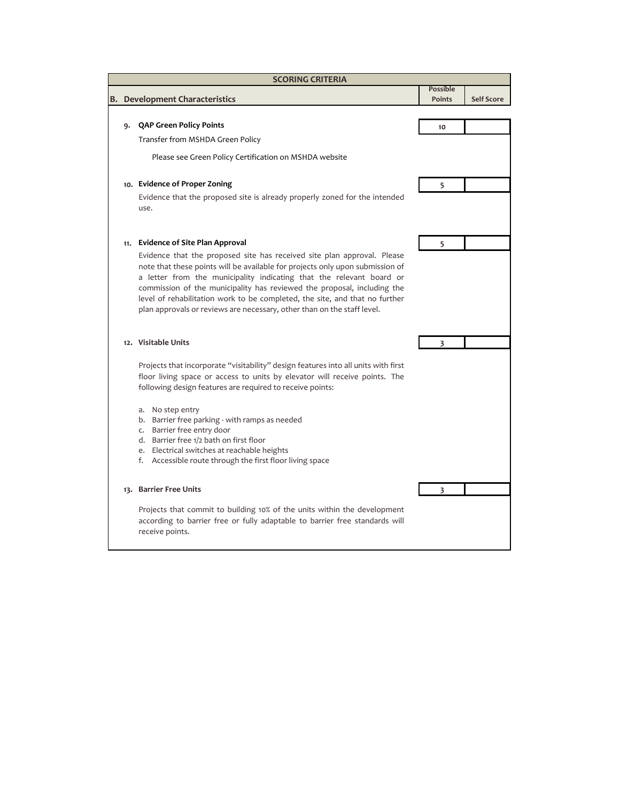|    | <b>SCORING CRITERIA</b>                                                                                                                                                                                                                                                                                                                                                                                                                                               |                                  |                   |
|----|-----------------------------------------------------------------------------------------------------------------------------------------------------------------------------------------------------------------------------------------------------------------------------------------------------------------------------------------------------------------------------------------------------------------------------------------------------------------------|----------------------------------|-------------------|
|    | <b>Development Characteristics</b>                                                                                                                                                                                                                                                                                                                                                                                                                                    | <b>Possible</b><br><b>Points</b> | <b>Self Score</b> |
|    |                                                                                                                                                                                                                                                                                                                                                                                                                                                                       |                                  |                   |
| ۹. | QAP Green Policy Points                                                                                                                                                                                                                                                                                                                                                                                                                                               | 10                               |                   |
|    | Transfer from MSHDA Green Policy                                                                                                                                                                                                                                                                                                                                                                                                                                      |                                  |                   |
|    | Please see Green Policy Certification on MSHDA website                                                                                                                                                                                                                                                                                                                                                                                                                |                                  |                   |
|    | 10. Evidence of Proper Zoning                                                                                                                                                                                                                                                                                                                                                                                                                                         | 5                                |                   |
|    | Evidence that the proposed site is already properly zoned for the intended<br>use.                                                                                                                                                                                                                                                                                                                                                                                    |                                  |                   |
|    | 11. Evidence of Site Plan Approval                                                                                                                                                                                                                                                                                                                                                                                                                                    | 5                                |                   |
|    | Evidence that the proposed site has received site plan approval. Please<br>note that these points will be available for projects only upon submission of<br>a letter from the municipality indicating that the relevant board or<br>commission of the municipality has reviewed the proposal, including the<br>level of rehabilitation work to be completed, the site, and that no further<br>plan approvals or reviews are necessary, other than on the staff level. |                                  |                   |
|    | 12. Visitable Units                                                                                                                                                                                                                                                                                                                                                                                                                                                   |                                  |                   |
|    | Projects that incorporate "visitability" design features into all units with first<br>floor living space or access to units by elevator will receive points. The<br>following design features are required to receive points:                                                                                                                                                                                                                                         |                                  |                   |
|    | No step entry<br>a.<br>Barrier free parking - with ramps as needed<br>b.<br>Barrier free entry door<br>$\mathsf{C}$ .<br>d. Barrier free 1/2 bath on first floor<br>e. Electrical switches at reachable heights<br>f. Accessible route through the first floor living space                                                                                                                                                                                           |                                  |                   |
|    | 13. Barrier Free Units                                                                                                                                                                                                                                                                                                                                                                                                                                                | 3                                |                   |
|    | Projects that commit to building 10% of the units within the development<br>according to barrier free or fully adaptable to barrier free standards will<br>receive points.                                                                                                                                                                                                                                                                                            |                                  |                   |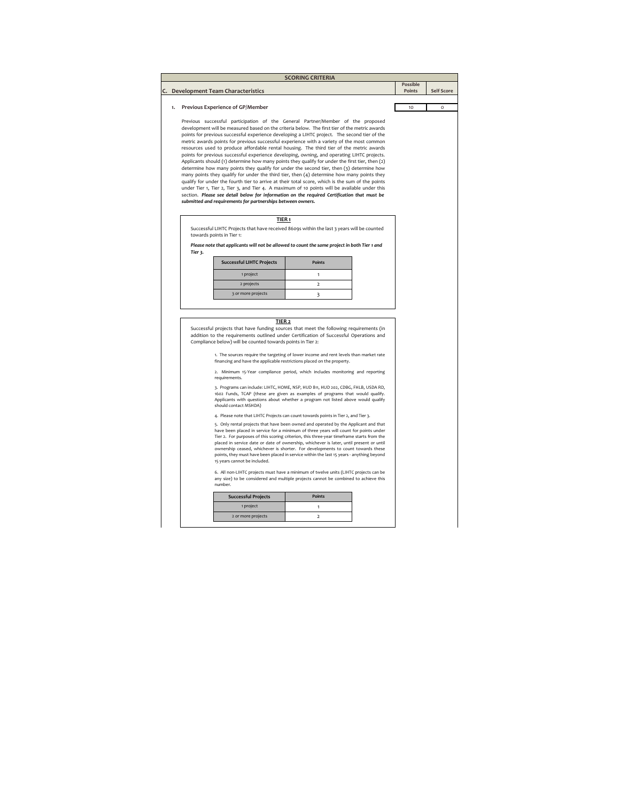|    |                                                                                                                                                                                                                                                 |                   | <b>SCORING CRITERIA</b>                                                                                                                                                                                                                                                                                                                                                                                                                                                                                                                            |                    |                   |
|----|-------------------------------------------------------------------------------------------------------------------------------------------------------------------------------------------------------------------------------------------------|-------------------|----------------------------------------------------------------------------------------------------------------------------------------------------------------------------------------------------------------------------------------------------------------------------------------------------------------------------------------------------------------------------------------------------------------------------------------------------------------------------------------------------------------------------------------------------|--------------------|-------------------|
|    | C. Development Team Characteristics                                                                                                                                                                                                             |                   |                                                                                                                                                                                                                                                                                                                                                                                                                                                                                                                                                    | Possible<br>Points | <b>Self Score</b> |
| 1. | Previous Experience of GP/Member                                                                                                                                                                                                                |                   |                                                                                                                                                                                                                                                                                                                                                                                                                                                                                                                                                    | 10                 | $\Omega$          |
|    |                                                                                                                                                                                                                                                 |                   |                                                                                                                                                                                                                                                                                                                                                                                                                                                                                                                                                    |                    |                   |
|    | Previous successful participation of the General Partner/Member of the proposed<br>development will be measured based on the criteria below. The first tier of the metric awards                                                                |                   |                                                                                                                                                                                                                                                                                                                                                                                                                                                                                                                                                    |                    |                   |
|    | points for previous successful experience developing a LIHTC project. The second tier of the                                                                                                                                                    |                   |                                                                                                                                                                                                                                                                                                                                                                                                                                                                                                                                                    |                    |                   |
|    | metric awards points for previous successful experience with a variety of the most common                                                                                                                                                       |                   |                                                                                                                                                                                                                                                                                                                                                                                                                                                                                                                                                    |                    |                   |
|    | resources used to produce affordable rental housing. The third tier of the metric awards<br>points for previous successful experience developing, owning, and operating LIHTC projects.                                                         |                   |                                                                                                                                                                                                                                                                                                                                                                                                                                                                                                                                                    |                    |                   |
|    | Applicants should (1) determine how many points they qualify for under the first tier, then (2)                                                                                                                                                 |                   |                                                                                                                                                                                                                                                                                                                                                                                                                                                                                                                                                    |                    |                   |
|    | determine how many points they qualify for under the second tier, then (3) determine how                                                                                                                                                        |                   |                                                                                                                                                                                                                                                                                                                                                                                                                                                                                                                                                    |                    |                   |
|    | many points they qualify for under the third tier, then (4) determine how many points they<br>qualify for under the fourth tier to arrive at their total score, which is the sum of the points                                                  |                   |                                                                                                                                                                                                                                                                                                                                                                                                                                                                                                                                                    |                    |                   |
|    | under Tier 1, Tier 2, Tier 3, and Tier 4. A maximum of 10 points will be available under this                                                                                                                                                   |                   |                                                                                                                                                                                                                                                                                                                                                                                                                                                                                                                                                    |                    |                   |
|    | section. Please see detail below for information on the required Certification that must be                                                                                                                                                     |                   |                                                                                                                                                                                                                                                                                                                                                                                                                                                                                                                                                    |                    |                   |
|    | submitted and requirements for partnerships between owners.                                                                                                                                                                                     |                   |                                                                                                                                                                                                                                                                                                                                                                                                                                                                                                                                                    |                    |                   |
|    |                                                                                                                                                                                                                                                 | TIER <sub>1</sub> |                                                                                                                                                                                                                                                                                                                                                                                                                                                                                                                                                    |                    |                   |
|    | Successful LIHTC Projects that have received 8609s within the last 3 years will be counted                                                                                                                                                      |                   |                                                                                                                                                                                                                                                                                                                                                                                                                                                                                                                                                    |                    |                   |
|    | towards points in Tier 1:                                                                                                                                                                                                                       |                   |                                                                                                                                                                                                                                                                                                                                                                                                                                                                                                                                                    |                    |                   |
|    | Please note that applicants will not be allowed to count the same project in both Tier 1 and<br>Tier 3.                                                                                                                                         |                   |                                                                                                                                                                                                                                                                                                                                                                                                                                                                                                                                                    |                    |                   |
|    | <b>Successful LIHTC Projects</b>                                                                                                                                                                                                                |                   | <b>Points</b>                                                                                                                                                                                                                                                                                                                                                                                                                                                                                                                                      |                    |                   |
|    | 1 project                                                                                                                                                                                                                                       |                   | $\mathbf{1}$                                                                                                                                                                                                                                                                                                                                                                                                                                                                                                                                       |                    |                   |
|    |                                                                                                                                                                                                                                                 |                   |                                                                                                                                                                                                                                                                                                                                                                                                                                                                                                                                                    |                    |                   |
|    | 2 projects                                                                                                                                                                                                                                      |                   | $\overline{2}$                                                                                                                                                                                                                                                                                                                                                                                                                                                                                                                                     |                    |                   |
|    | 3 or more projects                                                                                                                                                                                                                              | TIER <sub>2</sub> | 3                                                                                                                                                                                                                                                                                                                                                                                                                                                                                                                                                  |                    |                   |
|    | Successful projects that have funding sources that meet the following requirements (in<br>addition to the requirements outlined under Certification of Successful Operations and<br>Compliance below) will be counted towards points in Tier 2: |                   | 1. The sources require the targeting of lower income and rent levels than market rate<br>financing and have the applicable restrictions placed on the property.<br>2. Minimum 15-Year compliance period, which includes monitoring and reporting                                                                                                                                                                                                                                                                                                   |                    |                   |
|    | requirements.                                                                                                                                                                                                                                   |                   | 3. Programs can include: LIHTC, HOME, NSP, HUD 811, HUD 202, CDBG, FHLB, USDA RD,                                                                                                                                                                                                                                                                                                                                                                                                                                                                  |                    |                   |
|    | should contact MSHDA)                                                                                                                                                                                                                           |                   | 1602 Funds, TCAP (these are given as examples of programs that would qualify.<br>Applicants with questions about whether a program not listed above would qualify                                                                                                                                                                                                                                                                                                                                                                                  |                    |                   |
|    |                                                                                                                                                                                                                                                 |                   | 4. Please note that LIHTC Projects can count towards points in Tier 2, and Tier 3.                                                                                                                                                                                                                                                                                                                                                                                                                                                                 |                    |                   |
|    | 15 years cannot be included.                                                                                                                                                                                                                    |                   | 5. Only rental projects that have been owned and operated by the Applicant and that<br>have been placed in service for a minimum of three years will count for points under<br>Tier 2. For purposes of this scoring criterion, this three-year timeframe starts from the<br>placed in service date or date of ownership, whichever is later, until present or until<br>ownership ceased, whichever is shorter. For developments to count towards these<br>points, they must have been placed in service within the last 15 years - anything beyond |                    |                   |
|    | number.                                                                                                                                                                                                                                         |                   | 6. All non-LIHTC projects must have a minimum of twelve units (LIHTC projects can be<br>any size) to be considered and multiple projects cannot be combined to achieve this                                                                                                                                                                                                                                                                                                                                                                        |                    |                   |
|    |                                                                                                                                                                                                                                                 |                   |                                                                                                                                                                                                                                                                                                                                                                                                                                                                                                                                                    |                    |                   |
|    | <b>Successful Projects</b><br>1 project                                                                                                                                                                                                         |                   | Points<br>$\mathbf{1}$                                                                                                                                                                                                                                                                                                                                                                                                                                                                                                                             |                    |                   |
|    | 2 or more projects                                                                                                                                                                                                                              |                   | $\overline{\mathbf{c}}$                                                                                                                                                                                                                                                                                                                                                                                                                                                                                                                            |                    |                   |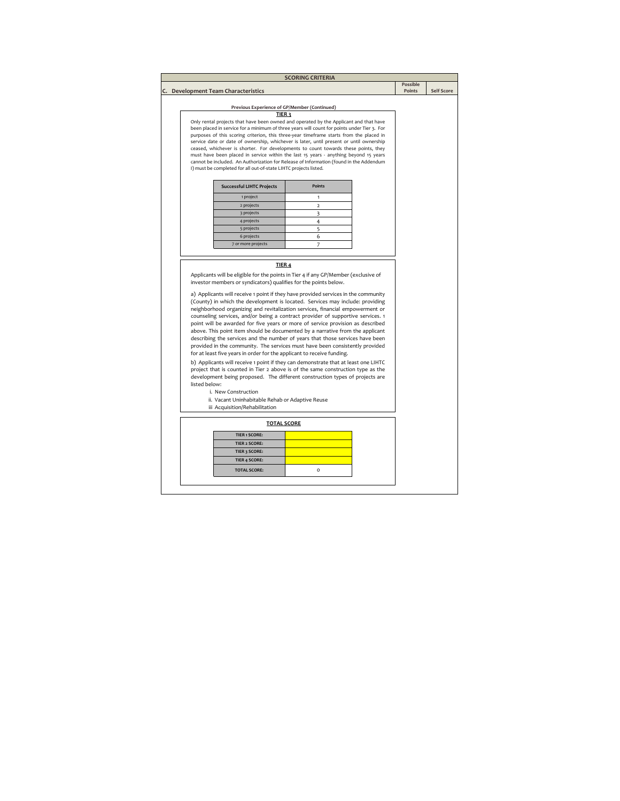|               |                                                                                                                                                                                                                                                                                                                                                                                                                                                                                                                                                                                                                                                                                                                                                                                                                                         | <b>SCORING CRITERIA</b> |                    |                   |
|---------------|-----------------------------------------------------------------------------------------------------------------------------------------------------------------------------------------------------------------------------------------------------------------------------------------------------------------------------------------------------------------------------------------------------------------------------------------------------------------------------------------------------------------------------------------------------------------------------------------------------------------------------------------------------------------------------------------------------------------------------------------------------------------------------------------------------------------------------------------|-------------------------|--------------------|-------------------|
|               |                                                                                                                                                                                                                                                                                                                                                                                                                                                                                                                                                                                                                                                                                                                                                                                                                                         |                         | Possible<br>Points | <b>Self Score</b> |
|               | C. Development Team Characteristics                                                                                                                                                                                                                                                                                                                                                                                                                                                                                                                                                                                                                                                                                                                                                                                                     |                         |                    |                   |
|               | Previous Experience of GP/Member (Continued)                                                                                                                                                                                                                                                                                                                                                                                                                                                                                                                                                                                                                                                                                                                                                                                            |                         |                    |                   |
|               | TIER <sub>3</sub>                                                                                                                                                                                                                                                                                                                                                                                                                                                                                                                                                                                                                                                                                                                                                                                                                       |                         |                    |                   |
|               | Only rental projects that have been owned and operated by the Applicant and that have                                                                                                                                                                                                                                                                                                                                                                                                                                                                                                                                                                                                                                                                                                                                                   |                         |                    |                   |
|               | been placed in service for a minimum of three years will count for points under Tier 3. For<br>purposes of this scoring criterion, this three-year timeframe starts from the placed in                                                                                                                                                                                                                                                                                                                                                                                                                                                                                                                                                                                                                                                  |                         |                    |                   |
|               | service date or date of ownership, whichever is later, until present or until ownership                                                                                                                                                                                                                                                                                                                                                                                                                                                                                                                                                                                                                                                                                                                                                 |                         |                    |                   |
|               | ceased, whichever is shorter. For developments to count towards these points, they                                                                                                                                                                                                                                                                                                                                                                                                                                                                                                                                                                                                                                                                                                                                                      |                         |                    |                   |
|               | must have been placed in service within the last 15 years - anything beyond 15 years                                                                                                                                                                                                                                                                                                                                                                                                                                                                                                                                                                                                                                                                                                                                                    |                         |                    |                   |
|               | cannot be included. An Authorization for Release of Information (found in the Addendum<br>I) must be completed for all out-of-state LIHTC projects listed.                                                                                                                                                                                                                                                                                                                                                                                                                                                                                                                                                                                                                                                                              |                         |                    |                   |
|               |                                                                                                                                                                                                                                                                                                                                                                                                                                                                                                                                                                                                                                                                                                                                                                                                                                         |                         |                    |                   |
|               | <b>Successful LIHTC Projects</b>                                                                                                                                                                                                                                                                                                                                                                                                                                                                                                                                                                                                                                                                                                                                                                                                        | <b>Points</b>           |                    |                   |
|               | 1 project                                                                                                                                                                                                                                                                                                                                                                                                                                                                                                                                                                                                                                                                                                                                                                                                                               | $\mathbf{1}$            |                    |                   |
|               | 2 projects                                                                                                                                                                                                                                                                                                                                                                                                                                                                                                                                                                                                                                                                                                                                                                                                                              | $\overline{\mathbf{2}}$ |                    |                   |
|               | 3 projects                                                                                                                                                                                                                                                                                                                                                                                                                                                                                                                                                                                                                                                                                                                                                                                                                              | 3                       |                    |                   |
|               | 4 projects                                                                                                                                                                                                                                                                                                                                                                                                                                                                                                                                                                                                                                                                                                                                                                                                                              | $\overline{4}$          |                    |                   |
|               | 5 projects                                                                                                                                                                                                                                                                                                                                                                                                                                                                                                                                                                                                                                                                                                                                                                                                                              | 5                       |                    |                   |
|               | 6 projects                                                                                                                                                                                                                                                                                                                                                                                                                                                                                                                                                                                                                                                                                                                                                                                                                              | 6                       |                    |                   |
|               | 7 or more projects                                                                                                                                                                                                                                                                                                                                                                                                                                                                                                                                                                                                                                                                                                                                                                                                                      | 7                       |                    |                   |
|               | TIER 4<br>Applicants will be eligible for the points in Tier 4 if any GP/Member (exclusive of<br>investor members or syndicators) qualifies for the points below.<br>a) Applicants will receive 1 point if they have provided services in the community<br>(County) in which the development is located. Services may include: providing                                                                                                                                                                                                                                                                                                                                                                                                                                                                                                |                         |                    |                   |
| listed below: | neighborhood organizing and revitalization services, financial empowerment or<br>counseling services, and/or being a contract provider of supportive services. 1<br>point will be awarded for five years or more of service provision as described<br>above. This point item should be documented by a narrative from the applicant<br>describing the services and the number of years that those services have been<br>provided in the community. The services must have been consistently provided<br>for at least five years in order for the applicant to receive funding.<br>b) Applicants will receive 1 point if they can demonstrate that at least one LIHTC<br>project that is counted in Tier 2 above is of the same construction type as the<br>development being proposed. The different construction types of projects are |                         |                    |                   |
|               | i. New Construction                                                                                                                                                                                                                                                                                                                                                                                                                                                                                                                                                                                                                                                                                                                                                                                                                     |                         |                    |                   |
|               | ii. Vacant Uninhabitable Rehab or Adaptive Reuse                                                                                                                                                                                                                                                                                                                                                                                                                                                                                                                                                                                                                                                                                                                                                                                        |                         |                    |                   |
|               | iii Acquisition/Rehabilitation                                                                                                                                                                                                                                                                                                                                                                                                                                                                                                                                                                                                                                                                                                                                                                                                          |                         |                    |                   |
|               | <b>TOTAL SCORE</b>                                                                                                                                                                                                                                                                                                                                                                                                                                                                                                                                                                                                                                                                                                                                                                                                                      |                         |                    |                   |
|               | <b>TIER 1 SCORE:</b>                                                                                                                                                                                                                                                                                                                                                                                                                                                                                                                                                                                                                                                                                                                                                                                                                    |                         |                    |                   |
|               | <b>TIER 2 SCORE:</b>                                                                                                                                                                                                                                                                                                                                                                                                                                                                                                                                                                                                                                                                                                                                                                                                                    |                         |                    |                   |
|               | TIER 3 SCORE:                                                                                                                                                                                                                                                                                                                                                                                                                                                                                                                                                                                                                                                                                                                                                                                                                           |                         |                    |                   |
|               | <b>TIER 4 SCORE:</b>                                                                                                                                                                                                                                                                                                                                                                                                                                                                                                                                                                                                                                                                                                                                                                                                                    |                         |                    |                   |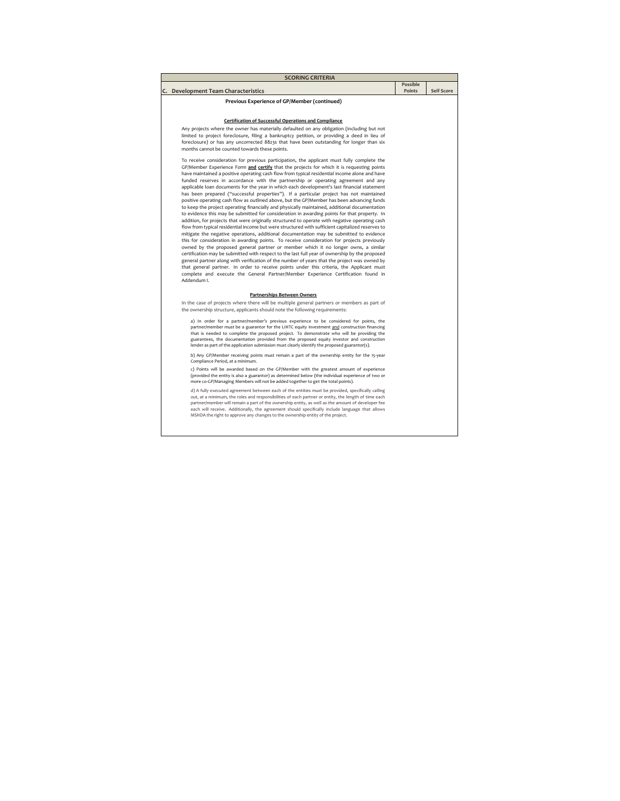| <b>SCORING CRITERIA</b>                                                                                                                                                                                                                                                                                                                                                                                                                                                                                                                                                                                                                                                                                                                                                                                                                                                                                                                                                                                                                                                                                                                                                                                                                                                                                                                                                                                                                                                                                                                                                                                                                                                                                                                                        |                           |                   |
|----------------------------------------------------------------------------------------------------------------------------------------------------------------------------------------------------------------------------------------------------------------------------------------------------------------------------------------------------------------------------------------------------------------------------------------------------------------------------------------------------------------------------------------------------------------------------------------------------------------------------------------------------------------------------------------------------------------------------------------------------------------------------------------------------------------------------------------------------------------------------------------------------------------------------------------------------------------------------------------------------------------------------------------------------------------------------------------------------------------------------------------------------------------------------------------------------------------------------------------------------------------------------------------------------------------------------------------------------------------------------------------------------------------------------------------------------------------------------------------------------------------------------------------------------------------------------------------------------------------------------------------------------------------------------------------------------------------------------------------------------------------|---------------------------|-------------------|
| C. Development Team Characteristics                                                                                                                                                                                                                                                                                                                                                                                                                                                                                                                                                                                                                                                                                                                                                                                                                                                                                                                                                                                                                                                                                                                                                                                                                                                                                                                                                                                                                                                                                                                                                                                                                                                                                                                            | <b>Possible</b><br>Points | <b>Self Score</b> |
|                                                                                                                                                                                                                                                                                                                                                                                                                                                                                                                                                                                                                                                                                                                                                                                                                                                                                                                                                                                                                                                                                                                                                                                                                                                                                                                                                                                                                                                                                                                                                                                                                                                                                                                                                                |                           |                   |
| Previous Experience of GP/Member (continued)                                                                                                                                                                                                                                                                                                                                                                                                                                                                                                                                                                                                                                                                                                                                                                                                                                                                                                                                                                                                                                                                                                                                                                                                                                                                                                                                                                                                                                                                                                                                                                                                                                                                                                                   |                           |                   |
|                                                                                                                                                                                                                                                                                                                                                                                                                                                                                                                                                                                                                                                                                                                                                                                                                                                                                                                                                                                                                                                                                                                                                                                                                                                                                                                                                                                                                                                                                                                                                                                                                                                                                                                                                                |                           |                   |
| Certification of Successful Operations and Compliance                                                                                                                                                                                                                                                                                                                                                                                                                                                                                                                                                                                                                                                                                                                                                                                                                                                                                                                                                                                                                                                                                                                                                                                                                                                                                                                                                                                                                                                                                                                                                                                                                                                                                                          |                           |                   |
| Any projects where the owner has materially defaulted on any obligation (including but not<br>limited to project foreclosure, filing a bankruptcy petition, or providing a deed in lieu of<br>foreclosure) or has any uncorrected 8823s that have been outstanding for longer than six<br>months cannot be counted towards these points.                                                                                                                                                                                                                                                                                                                                                                                                                                                                                                                                                                                                                                                                                                                                                                                                                                                                                                                                                                                                                                                                                                                                                                                                                                                                                                                                                                                                                       |                           |                   |
| To receive consideration for previous participation, the applicant must fully complete the<br>GP/Member Experience Form and certify that the projects for which it is requesting points<br>have maintained a positive operating cash flow from typical residential income alone and have<br>funded reserves in accordance with the partnership or operating agreement and any<br>applicable loan documents for the year in which each development's last financial statement<br>has been prepared ("successful properties"). If a particular project has not maintained<br>positive operating cash flow as outlined above, but the GP/Member has been advancing funds<br>to keep the project operating financially and physically maintained, additional documentation<br>to evidence this may be submitted for consideration in awarding points for that property. In<br>addition, for projects that were originally structured to operate with negative operating cash<br>flow from typical residential income but were structured with sufficient capitalized reserves to<br>mitigate the negative operations, additional documentation may be submitted to evidence<br>this for consideration in awarding points. To receive consideration for projects previously<br>owned by the proposed general partner or member which it no longer owns, a similar<br>certification may be submitted with respect to the last full year of ownership by the proposed<br>general partner along with verification of the number of years that the project was owned by<br>that general partner. In order to receive points under this criteria, the Applicant must<br>complete and execute the General Partner/Member Experience Certification found in<br>Addendum I. |                           |                   |
| Partnerships Between Owners                                                                                                                                                                                                                                                                                                                                                                                                                                                                                                                                                                                                                                                                                                                                                                                                                                                                                                                                                                                                                                                                                                                                                                                                                                                                                                                                                                                                                                                                                                                                                                                                                                                                                                                                    |                           |                   |
| In the case of projects where there will be multiple general partners or members as part of<br>the ownership structure, applicants should note the following requirements:                                                                                                                                                                                                                                                                                                                                                                                                                                                                                                                                                                                                                                                                                                                                                                                                                                                                                                                                                                                                                                                                                                                                                                                                                                                                                                                                                                                                                                                                                                                                                                                     |                           |                   |
| a) In order for a partner/member's previous experience to be considered for points, the<br>partner/member must be a guarantor for the LIHTC equity investment and construction financing<br>that is needed to complete the proposed project. To demonstrate who will be providing the<br>guarantees, the documentation provided from the proposed equity investor and construction<br>lender as part of the application submission must clearly identify the proposed guarantor(s).                                                                                                                                                                                                                                                                                                                                                                                                                                                                                                                                                                                                                                                                                                                                                                                                                                                                                                                                                                                                                                                                                                                                                                                                                                                                            |                           |                   |
| b) Any GP/Member receiving points must remain a part of the ownership entity for the 15-year<br>Compliance Period, at a minimum.                                                                                                                                                                                                                                                                                                                                                                                                                                                                                                                                                                                                                                                                                                                                                                                                                                                                                                                                                                                                                                                                                                                                                                                                                                                                                                                                                                                                                                                                                                                                                                                                                               |                           |                   |
| c) Points will be awarded based on the GP/Member with the greatest amount of experience<br>(provided the entity is also a guarantor) as determined below (the individual experience of two or<br>more co-GP/Managing Members will not be added together to get the total points).                                                                                                                                                                                                                                                                                                                                                                                                                                                                                                                                                                                                                                                                                                                                                                                                                                                                                                                                                                                                                                                                                                                                                                                                                                                                                                                                                                                                                                                                              |                           |                   |
| d) A fully executed agreement between each of the entities must be provided, specifically calling<br>out, at a minimum, the roles and responsibilities of each partner or entity, the length of time each<br>partner/member will remain a part of the ownership entity, as well as the amount of developer fee<br>each will receive. Additionally, the agreement should specifically include language that allows<br>MSHDA the right to approve any changes to the ownership entity of the project.                                                                                                                                                                                                                                                                                                                                                                                                                                                                                                                                                                                                                                                                                                                                                                                                                                                                                                                                                                                                                                                                                                                                                                                                                                                            |                           |                   |
|                                                                                                                                                                                                                                                                                                                                                                                                                                                                                                                                                                                                                                                                                                                                                                                                                                                                                                                                                                                                                                                                                                                                                                                                                                                                                                                                                                                                                                                                                                                                                                                                                                                                                                                                                                |                           |                   |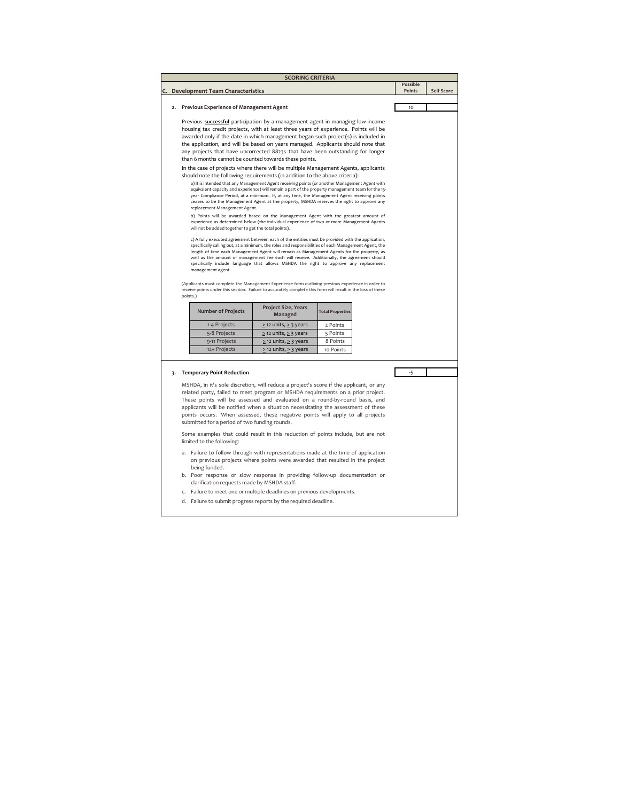|  |                                                                                                                                                                      | <b>SCORING CRITERIA</b>               |                                                                                                                                                                                                    |          |                   |
|--|----------------------------------------------------------------------------------------------------------------------------------------------------------------------|---------------------------------------|----------------------------------------------------------------------------------------------------------------------------------------------------------------------------------------------------|----------|-------------------|
|  |                                                                                                                                                                      |                                       |                                                                                                                                                                                                    | Possible |                   |
|  | C. Development Team Characteristics                                                                                                                                  |                                       |                                                                                                                                                                                                    | Points   | <b>Self Score</b> |
|  | 2. Previous Experience of Management Agent                                                                                                                           |                                       |                                                                                                                                                                                                    | 10       |                   |
|  |                                                                                                                                                                      |                                       |                                                                                                                                                                                                    |          |                   |
|  | Previous successful participation by a management agent in managing low-income                                                                                       |                                       |                                                                                                                                                                                                    |          |                   |
|  | housing tax credit projects, with at least three years of experience. Points will be                                                                                 |                                       |                                                                                                                                                                                                    |          |                   |
|  | awarded only if the date in which management began such project(s) is included in                                                                                    |                                       |                                                                                                                                                                                                    |          |                   |
|  | the application, and will be based on years managed. Applicants should note that<br>any projects that have uncorrected 8823s that have been outstanding for longer   |                                       |                                                                                                                                                                                                    |          |                   |
|  | than 6 months cannot be counted towards these points.                                                                                                                |                                       |                                                                                                                                                                                                    |          |                   |
|  | In the case of projects where there will be multiple Management Agents, applicants                                                                                   |                                       |                                                                                                                                                                                                    |          |                   |
|  | should note the following requirements (in addition to the above criteria):                                                                                          |                                       |                                                                                                                                                                                                    |          |                   |
|  |                                                                                                                                                                      |                                       | a) It is intended that any Management Agent receiving points (or another Management Agent with                                                                                                     |          |                   |
|  |                                                                                                                                                                      |                                       | equivalent capacity and experience) will remain a part of the property management team for the 15-<br>year Compliance Period, at a minimum. If, at any time, the Management Agent receiving points |          |                   |
|  | ceases to be the Management Agent at the property, MSHDA reserves the right to approve any                                                                           |                                       |                                                                                                                                                                                                    |          |                   |
|  | replacement Management Agent.                                                                                                                                        |                                       |                                                                                                                                                                                                    |          |                   |
|  |                                                                                                                                                                      |                                       | b) Points will be awarded based on the Management Agent with the greatest amount of<br>experience as determined below (the individual experience of two or more Management Agents                  |          |                   |
|  | will not be added together to get the total points).                                                                                                                 |                                       |                                                                                                                                                                                                    |          |                   |
|  |                                                                                                                                                                      |                                       | c) A fully executed agreement between each of the entities must be provided with the application,                                                                                                  |          |                   |
|  |                                                                                                                                                                      |                                       | specifically calling out, at a minimum, the roles and responsibilities of each Management Agent, the                                                                                               |          |                   |
|  |                                                                                                                                                                      |                                       | length of time each Management Agent will remain as Management Agents for the property, as<br>well as the amount of management fee each will receive. Additionally, the agreement should           |          |                   |
|  |                                                                                                                                                                      |                                       | specifically include language that allows MSHDA the right to approve any replacement                                                                                                               |          |                   |
|  | management agent.                                                                                                                                                    |                                       |                                                                                                                                                                                                    |          |                   |
|  | (Applicants must complete the Management Experience form outlining previous experience in order to                                                                   |                                       |                                                                                                                                                                                                    |          |                   |
|  | receive points under this section. Failure to accurately complete this form will result in the loss of these                                                         |                                       |                                                                                                                                                                                                    |          |                   |
|  | points.)                                                                                                                                                             |                                       |                                                                                                                                                                                                    |          |                   |
|  | <b>Number of Projects</b>                                                                                                                                            | <b>Project Size, Years</b><br>Managed | <b>Total Properties</b>                                                                                                                                                                            |          |                   |
|  | 1-4 Projects                                                                                                                                                         | $\geq$ 12 units, $\geq$ 3 years       | 2 Points                                                                                                                                                                                           |          |                   |
|  | 5-8 Projects                                                                                                                                                         | $\geq$ 12 units, $\geq$ 3 years       | 5 Points                                                                                                                                                                                           |          |                   |
|  | 9-11 Projects                                                                                                                                                        | $\geq$ 12 units, $\geq$ 3 years       | 8 Points                                                                                                                                                                                           |          |                   |
|  | 12+ Projects                                                                                                                                                         | $\geq$ 12 units, $\geq$ 3 years       | 10 Points                                                                                                                                                                                          |          |                   |
|  |                                                                                                                                                                      |                                       |                                                                                                                                                                                                    |          |                   |
|  | 3. Temporary Point Reduction                                                                                                                                         |                                       |                                                                                                                                                                                                    | $-5$     |                   |
|  |                                                                                                                                                                      |                                       |                                                                                                                                                                                                    |          |                   |
|  | MSHDA, in it's sole discretion, will reduce a project's score if the applicant, or any                                                                               |                                       |                                                                                                                                                                                                    |          |                   |
|  | related party, failed to meet program or MSHDA requirements on a prior project.                                                                                      |                                       |                                                                                                                                                                                                    |          |                   |
|  | These points will be assessed and evaluated on a round-by-round basis, and                                                                                           |                                       |                                                                                                                                                                                                    |          |                   |
|  | applicants will be notified when a situation necessitating the assessment of these<br>points occurs. When assessed, these negative points will apply to all projects |                                       |                                                                                                                                                                                                    |          |                   |
|  | submitted for a period of two funding rounds.                                                                                                                        |                                       |                                                                                                                                                                                                    |          |                   |
|  |                                                                                                                                                                      |                                       |                                                                                                                                                                                                    |          |                   |
|  | Some examples that could result in this reduction of points include, but are not<br>limited to the following:                                                        |                                       |                                                                                                                                                                                                    |          |                   |
|  | a. Failure to follow through with representations made at the time of application                                                                                    |                                       |                                                                                                                                                                                                    |          |                   |
|  |                                                                                                                                                                      |                                       | on previous projects where points were awarded that resulted in the project                                                                                                                        |          |                   |
|  | being funded.                                                                                                                                                        |                                       |                                                                                                                                                                                                    |          |                   |
|  | b. Poor response or slow response in providing follow-up documentation or<br>clarification requests made by MSHDA staff.                                             |                                       |                                                                                                                                                                                                    |          |                   |
|  |                                                                                                                                                                      |                                       |                                                                                                                                                                                                    |          |                   |
|  | Failure to meet one or multiple deadlines on previous developments.<br>c.                                                                                            |                                       |                                                                                                                                                                                                    |          |                   |

d. Failure to submit progress reports by the required deadline.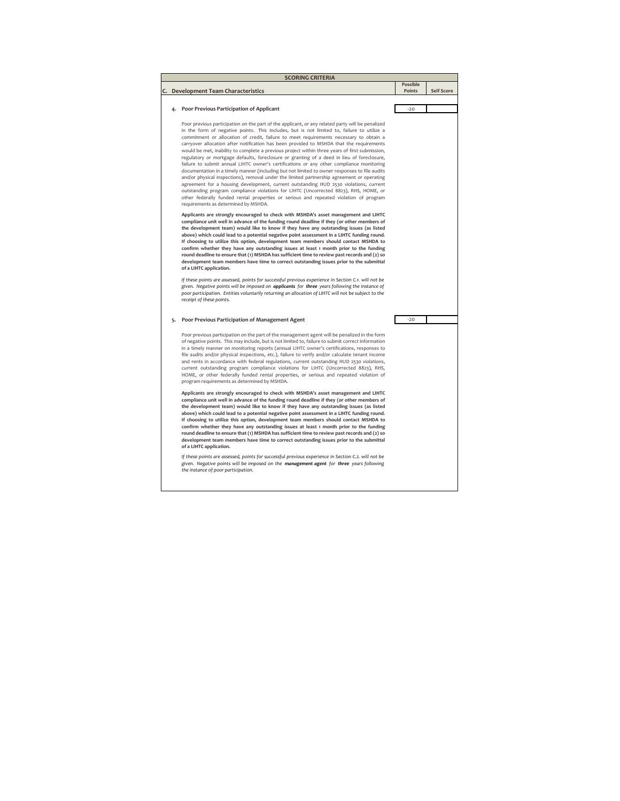| <b>SCORING CRITERIA</b> |                                                                                                                                                                                                        |          |                   |  |  |  |
|-------------------------|--------------------------------------------------------------------------------------------------------------------------------------------------------------------------------------------------------|----------|-------------------|--|--|--|
|                         |                                                                                                                                                                                                        | Possible | <b>Self Score</b> |  |  |  |
| C.                      | Development Team Characteristics                                                                                                                                                                       | Points   |                   |  |  |  |
|                         | Poor Previous Participation of Applicant<br>4.                                                                                                                                                         | $-20$    |                   |  |  |  |
|                         |                                                                                                                                                                                                        |          |                   |  |  |  |
|                         | Poor previous participation on the part of the applicant, or any related party will be penalized                                                                                                       |          |                   |  |  |  |
|                         | in the form of negative points. This includes, but is not limited to, failure to utilize a                                                                                                             |          |                   |  |  |  |
|                         | commitment or allocation of credit, failure to meet requirements necessary to obtain a                                                                                                                 |          |                   |  |  |  |
|                         | carryover allocation after notification has been provided to MSHDA that the requirements<br>would be met, inability to complete a previous project within three years of first submission,             |          |                   |  |  |  |
|                         | regulatory or mortgage defaults, foreclosure or granting of a deed in lieu of foreclosure,                                                                                                             |          |                   |  |  |  |
|                         | failure to submit annual LIHTC owner's certifications or any other compliance monitoring                                                                                                               |          |                   |  |  |  |
|                         | documentation in a timely manner (including but not limited to owner responses to file audits                                                                                                          |          |                   |  |  |  |
|                         | and/or physical inspections), removal under the limited partnership agreement or operating<br>agreement for a housing development, current outstanding HUD 2530 violations, current                    |          |                   |  |  |  |
|                         | outstanding program compliance violations for LIHTC (Uncorrected 8823), RHS, HOME, or                                                                                                                  |          |                   |  |  |  |
|                         | other federally funded rental properties or serious and repeated violation of program                                                                                                                  |          |                   |  |  |  |
|                         | requirements as determined by MSHDA.                                                                                                                                                                   |          |                   |  |  |  |
|                         | Applicants are strongly encouraged to check with MSHDA's asset management and LIHTC                                                                                                                    |          |                   |  |  |  |
|                         | compliance unit well in advance of the funding round deadline if they (or other members of                                                                                                             |          |                   |  |  |  |
|                         | the development team) would like to know if they have any outstanding issues (as listed<br>above) which could lead to a potential negative point assessment in a LIHTC funding round.                  |          |                   |  |  |  |
|                         | If choosing to utilize this option, development team members should contact MSHDA to                                                                                                                   |          |                   |  |  |  |
|                         | confirm whether they have any outstanding issues at least 1 month prior to the funding                                                                                                                 |          |                   |  |  |  |
|                         | round deadline to ensure that (1) MSHDA has sufficient time to review past records and (2) so                                                                                                          |          |                   |  |  |  |
|                         | development team members have time to correct outstanding issues prior to the submittal<br>of a LIHTC application.                                                                                     |          |                   |  |  |  |
|                         | If these points are assessed, points for successful previous experience in Section C.1. will not be                                                                                                    |          |                   |  |  |  |
|                         | given. Negative points will be imposed on applicants for three years following the instance of<br>poor participation. Entities voluntarily returning an allocation of LIHTC will not be subject to the |          |                   |  |  |  |
|                         | receipt of these points.                                                                                                                                                                               |          |                   |  |  |  |
|                         |                                                                                                                                                                                                        |          |                   |  |  |  |
| 5.                      | Poor Previous Participation of Management Agent                                                                                                                                                        | $-20$    |                   |  |  |  |
|                         | Poor previous participation on the part of the management agent will be penalized in the form                                                                                                          |          |                   |  |  |  |
|                         | of negative points. This may include, but is not limited to, failure to submit correct information                                                                                                     |          |                   |  |  |  |
|                         | in a timely manner on monitoring reports (annual LIHTC owner's certifications, responses to<br>file audits and/or physical inspections, etc.), failure to verify and/or calculate tenant income        |          |                   |  |  |  |
|                         | and rents in accordance with federal regulations, current outstanding HUD 2530 violations,                                                                                                             |          |                   |  |  |  |
|                         | current outstanding program compliance violations for LIHTC (Uncorrected 8823), RHS,                                                                                                                   |          |                   |  |  |  |
|                         | HOME, or other federally funded rental properties, or serious and repeated violation of                                                                                                                |          |                   |  |  |  |
|                         |                                                                                                                                                                                                        |          |                   |  |  |  |
|                         | program requirements as determined by MSHDA.                                                                                                                                                           |          |                   |  |  |  |
|                         | Applicants are strongly encouraged to check with MSHDA's asset management and LIHTC                                                                                                                    |          |                   |  |  |  |
|                         | compliance unit well in advance of the funding round deadline if they (or other members of                                                                                                             |          |                   |  |  |  |
|                         | the development team) would like to know if they have any outstanding issues (as listed<br>above) which could lead to a potential negative point assessment in a LIHTC funding round.                  |          |                   |  |  |  |
|                         | If choosing to utilize this option, development team members should contact MSHDA to                                                                                                                   |          |                   |  |  |  |
|                         | confirm whether they have any outstanding issues at least 1 month prior to the funding                                                                                                                 |          |                   |  |  |  |
|                         | round deadline to ensure that (1) MSHDA has sufficient time to review past records and (2) so                                                                                                          |          |                   |  |  |  |
|                         | development team members have time to correct outstanding issues prior to the submittal<br>of a LIHTC application.                                                                                     |          |                   |  |  |  |
|                         | If these points are assessed, points for successful previous experience in Section C.2. will not be                                                                                                    |          |                   |  |  |  |
|                         | given. Negative points will be imposed on the management agent for three years following<br>the instance of poor participation.                                                                        |          |                   |  |  |  |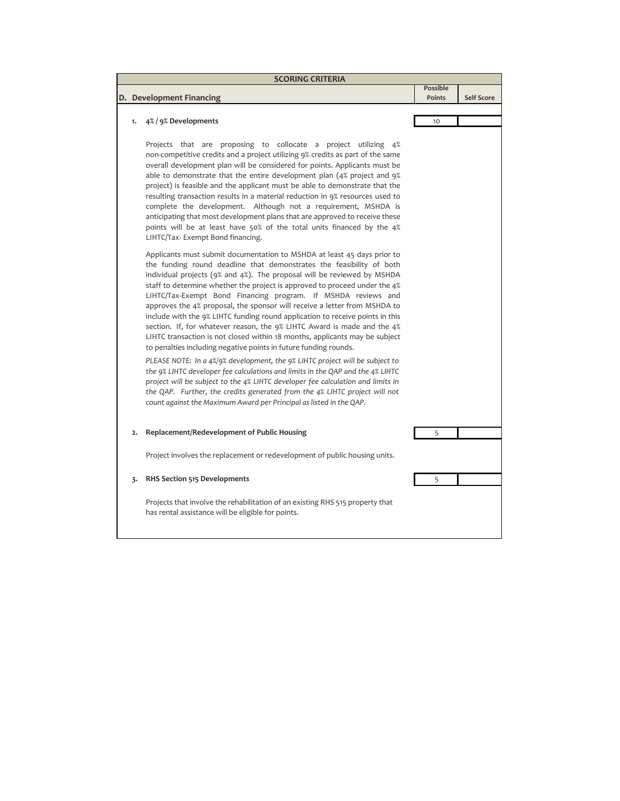| <b>SCORING CRITERIA</b> |                                                                                                                                                                                                                                                                                                                                                                                                                                                                                                                                                                                                                                                                                                                                                                       |                                  |                   |  |  |  |
|-------------------------|-----------------------------------------------------------------------------------------------------------------------------------------------------------------------------------------------------------------------------------------------------------------------------------------------------------------------------------------------------------------------------------------------------------------------------------------------------------------------------------------------------------------------------------------------------------------------------------------------------------------------------------------------------------------------------------------------------------------------------------------------------------------------|----------------------------------|-------------------|--|--|--|
|                         |                                                                                                                                                                                                                                                                                                                                                                                                                                                                                                                                                                                                                                                                                                                                                                       | <b>Possible</b><br><b>Points</b> | <b>Self Score</b> |  |  |  |
|                         | D. Development Financing                                                                                                                                                                                                                                                                                                                                                                                                                                                                                                                                                                                                                                                                                                                                              |                                  |                   |  |  |  |
|                         |                                                                                                                                                                                                                                                                                                                                                                                                                                                                                                                                                                                                                                                                                                                                                                       |                                  |                   |  |  |  |
| 1.                      | 4% / 9% Developments<br>Projects that are proposing to collocate a project utilizing 4%<br>non-competitive credits and a project utilizing 9% credits as part of the same<br>overall development plan will be considered for points. Applicants must be<br>able to demonstrate that the entire development plan (4% project and 9%)<br>project) is feasible and the applicant must be able to demonstrate that the<br>resulting transaction results in a material reduction in 9% resources used to<br>complete the development. Although not a requirement, MSHDA is<br>anticipating that most development plans that are approved to receive these<br>points will be at least have 50% of the total units financed by the 4%<br>LIHTC/Tax-Exempt Bond financing.    | 10                               |                   |  |  |  |
|                         | Applicants must submit documentation to MSHDA at least 45 days prior to<br>the funding round deadline that demonstrates the feasibility of both<br>individual projects (9% and 4%). The proposal will be reviewed by MSHDA<br>staff to determine whether the project is approved to proceed under the 4%<br>LIHTC/Tax-Exempt Bond Financing program. If MSHDA reviews and<br>approves the 4% proposal, the sponsor will receive a letter from MSHDA to<br>include with the 9% LIHTC funding round application to receive points in this<br>section. If, for whatever reason, the 9% LIHTC Award is made and the 4%<br>LIHTC transaction is not closed within 18 months, applicants may be subject<br>to penalties including negative points in future funding rounds. |                                  |                   |  |  |  |
|                         | PLEASE NOTE: In a 4%/9% development, the 9% LIHTC project will be subject to<br>the 9% LIHTC developer fee calculations and limits in the QAP and the 4% LIHTC<br>project will be subject to the 4% LIHTC developer fee calculation and limits in<br>the QAP. Further, the credits generated from the 4% LIHTC project will not<br>count against the Maximum Award per Principal as listed in the QAP.                                                                                                                                                                                                                                                                                                                                                                |                                  |                   |  |  |  |
| 2.                      | Replacement/Redevelopment of Public Housing                                                                                                                                                                                                                                                                                                                                                                                                                                                                                                                                                                                                                                                                                                                           | 5                                |                   |  |  |  |
|                         | Project involves the replacement or redevelopment of public housing units.                                                                                                                                                                                                                                                                                                                                                                                                                                                                                                                                                                                                                                                                                            |                                  |                   |  |  |  |
| 3.                      | RHS Section 515 Developments                                                                                                                                                                                                                                                                                                                                                                                                                                                                                                                                                                                                                                                                                                                                          | 5                                |                   |  |  |  |
|                         | Projects that involve the rehabilitation of an existing RHS 515 property that<br>has rental assistance will be eligible for points.                                                                                                                                                                                                                                                                                                                                                                                                                                                                                                                                                                                                                                   |                                  |                   |  |  |  |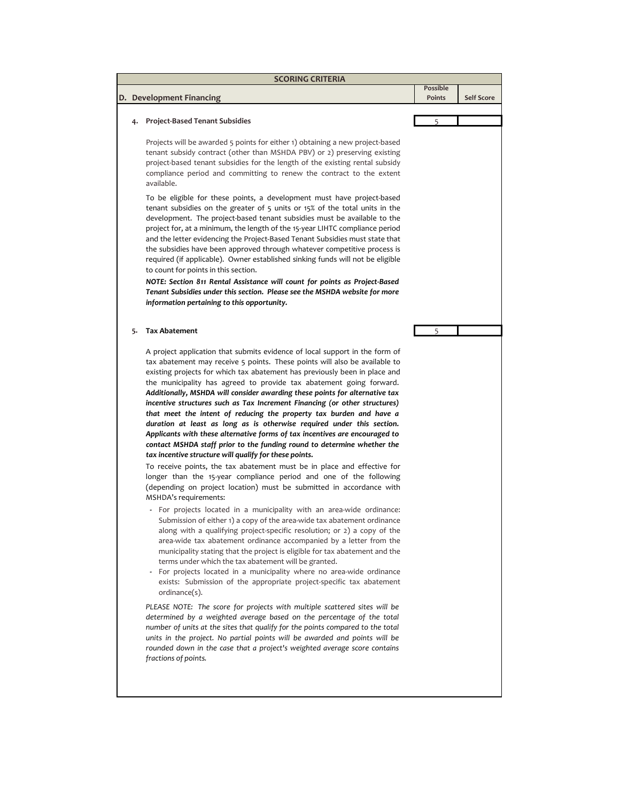|    | <b>SCORING CRITERIA</b>                                                                                                                                                                                                                                                                                                                                                                                                                                                                                                                                                                                                                                                                                                                                                                                                                                                                                                                                                                                                                                                                                                                                                                                                                                                                                                                                                                                                                                                                                                                                                                                                                                                                                           |                    |                   |
|----|-------------------------------------------------------------------------------------------------------------------------------------------------------------------------------------------------------------------------------------------------------------------------------------------------------------------------------------------------------------------------------------------------------------------------------------------------------------------------------------------------------------------------------------------------------------------------------------------------------------------------------------------------------------------------------------------------------------------------------------------------------------------------------------------------------------------------------------------------------------------------------------------------------------------------------------------------------------------------------------------------------------------------------------------------------------------------------------------------------------------------------------------------------------------------------------------------------------------------------------------------------------------------------------------------------------------------------------------------------------------------------------------------------------------------------------------------------------------------------------------------------------------------------------------------------------------------------------------------------------------------------------------------------------------------------------------------------------------|--------------------|-------------------|
|    | D. Development Financing                                                                                                                                                                                                                                                                                                                                                                                                                                                                                                                                                                                                                                                                                                                                                                                                                                                                                                                                                                                                                                                                                                                                                                                                                                                                                                                                                                                                                                                                                                                                                                                                                                                                                          | Possible<br>Points | <b>Self Score</b> |
|    |                                                                                                                                                                                                                                                                                                                                                                                                                                                                                                                                                                                                                                                                                                                                                                                                                                                                                                                                                                                                                                                                                                                                                                                                                                                                                                                                                                                                                                                                                                                                                                                                                                                                                                                   |                    |                   |
| 4. | <b>Project-Based Tenant Subsidies</b>                                                                                                                                                                                                                                                                                                                                                                                                                                                                                                                                                                                                                                                                                                                                                                                                                                                                                                                                                                                                                                                                                                                                                                                                                                                                                                                                                                                                                                                                                                                                                                                                                                                                             | 5                  |                   |
|    | Projects will be awarded 5 points for either 1) obtaining a new project-based<br>tenant subsidy contract (other than MSHDA PBV) or 2) preserving existing<br>project-based tenant subsidies for the length of the existing rental subsidy<br>compliance period and committing to renew the contract to the extent<br>available.                                                                                                                                                                                                                                                                                                                                                                                                                                                                                                                                                                                                                                                                                                                                                                                                                                                                                                                                                                                                                                                                                                                                                                                                                                                                                                                                                                                   |                    |                   |
|    | To be eligible for these points, a development must have project-based<br>tenant subsidies on the greater of 5 units or 15% of the total units in the<br>development. The project-based tenant subsidies must be available to the<br>project for, at a minimum, the length of the 15-year LIHTC compliance period<br>and the letter evidencing the Project-Based Tenant Subsidies must state that<br>the subsidies have been approved through whatever competitive process is<br>required (if applicable). Owner established sinking funds will not be eligible<br>to count for points in this section.                                                                                                                                                                                                                                                                                                                                                                                                                                                                                                                                                                                                                                                                                                                                                                                                                                                                                                                                                                                                                                                                                                           |                    |                   |
|    | NOTE: Section 811 Rental Assistance will count for points as Project-Based<br>Tenant Subsidies under this section. Please see the MSHDA website for more<br>information pertaining to this opportunity.                                                                                                                                                                                                                                                                                                                                                                                                                                                                                                                                                                                                                                                                                                                                                                                                                                                                                                                                                                                                                                                                                                                                                                                                                                                                                                                                                                                                                                                                                                           |                    |                   |
| 5. | <b>Tax Abatement</b>                                                                                                                                                                                                                                                                                                                                                                                                                                                                                                                                                                                                                                                                                                                                                                                                                                                                                                                                                                                                                                                                                                                                                                                                                                                                                                                                                                                                                                                                                                                                                                                                                                                                                              | 5                  |                   |
|    | A project application that submits evidence of local support in the form of<br>tax abatement may receive 5 points. These points will also be available to<br>existing projects for which tax abatement has previously been in place and<br>the municipality has agreed to provide tax abatement going forward.<br>Additionally, MSHDA will consider awarding these points for alternative tax<br>incentive structures such as Tax Increment Financing (or other structures)<br>that meet the intent of reducing the property tax burden and have a<br>duration at least as long as is otherwise required under this section.<br>Applicants with these alternative forms of tax incentives are encouraged to<br>contact MSHDA staff prior to the funding round to determine whether the<br>tax incentive structure will qualify for these points.<br>To receive points, the tax abatement must be in place and effective for<br>longer than the 15-year compliance period and one of the following<br>(depending on project location) must be submitted in accordance with<br>MSHDA's requirements:<br>- For projects located in a municipality with an area-wide ordinance:<br>Submission of either 1) a copy of the area-wide tax abatement ordinance<br>along with a qualifying project-specific resolution; or 2) a copy of the<br>area-wide tax abatement ordinance accompanied by a letter from the<br>municipality stating that the project is eligible for tax abatement and the<br>terms under which the tax abatement will be granted.<br>- For projects located in a municipality where no area-wide ordinance<br>exists: Submission of the appropriate project-specific tax abatement<br>ordinance(s). |                    |                   |
|    | PLEASE NOTE: The score for projects with multiple scattered sites will be<br>determined by a weighted average based on the percentage of the total<br>number of units at the sites that qualify for the points compared to the total<br>units in the project. No partial points will be awarded and points will be<br>rounded down in the case that a project's weighted average score contains<br>fractions of points.                                                                                                                                                                                                                                                                                                                                                                                                                                                                                                                                                                                                                                                                                                                                                                                                                                                                                                                                                                                                                                                                                                                                                                                                                                                                                           |                    |                   |
|    |                                                                                                                                                                                                                                                                                                                                                                                                                                                                                                                                                                                                                                                                                                                                                                                                                                                                                                                                                                                                                                                                                                                                                                                                                                                                                                                                                                                                                                                                                                                                                                                                                                                                                                                   |                    |                   |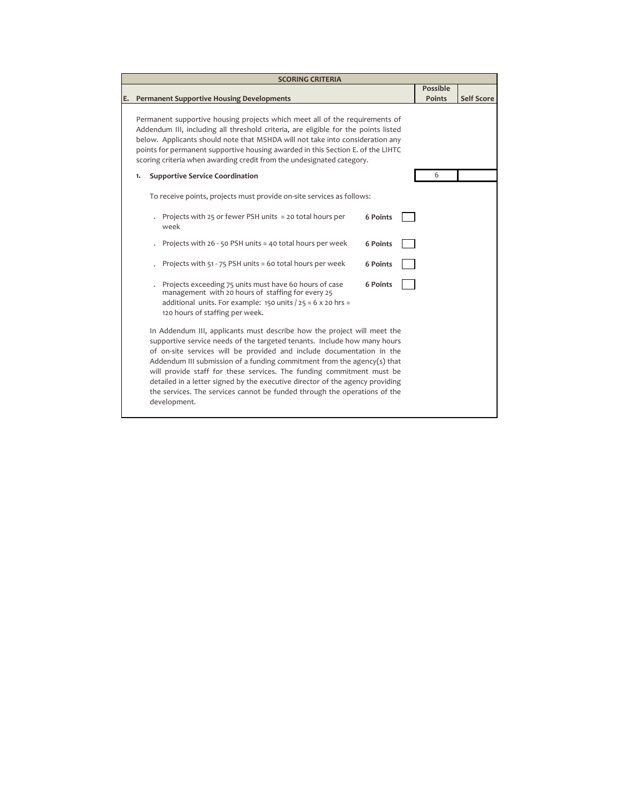|    | <b>SCORING CRITERIA</b>                                                                                                                                                                                                                                                                                                                                                                                                                                                                                                                                        |               |                   |  |  |  |  |
|----|----------------------------------------------------------------------------------------------------------------------------------------------------------------------------------------------------------------------------------------------------------------------------------------------------------------------------------------------------------------------------------------------------------------------------------------------------------------------------------------------------------------------------------------------------------------|---------------|-------------------|--|--|--|--|
|    |                                                                                                                                                                                                                                                                                                                                                                                                                                                                                                                                                                | Possible      |                   |  |  |  |  |
| E. | <b>Permanent Supportive Housing Developments</b>                                                                                                                                                                                                                                                                                                                                                                                                                                                                                                               | <b>Points</b> | <b>Self Score</b> |  |  |  |  |
|    | Permanent supportive housing projects which meet all of the requirements of<br>Addendum III, including all threshold criteria, are eligible for the points listed<br>below. Applicants should note that MSHDA will not take into consideration any<br>points for permanent supportive housing awarded in this Section E. of the LIHTC<br>scoring criteria when awarding credit from the undesignated category.                                                                                                                                                 |               |                   |  |  |  |  |
|    | <b>Supportive Service Coordination</b><br>1.                                                                                                                                                                                                                                                                                                                                                                                                                                                                                                                   | 6             |                   |  |  |  |  |
|    | To receive points, projects must provide on-site services as follows:                                                                                                                                                                                                                                                                                                                                                                                                                                                                                          |               |                   |  |  |  |  |
|    | Projects with 25 or fewer PSH units = 20 total hours per<br><b>6 Points</b><br>week                                                                                                                                                                                                                                                                                                                                                                                                                                                                            |               |                   |  |  |  |  |
|    | Projects with 26 - 50 PSH units = 40 total hours per week<br><b>6 Points</b>                                                                                                                                                                                                                                                                                                                                                                                                                                                                                   |               |                   |  |  |  |  |
|    | Projects with 51 - 75 PSH units = 60 total hours per week<br>6 Points                                                                                                                                                                                                                                                                                                                                                                                                                                                                                          |               |                   |  |  |  |  |
|    | Projects exceeding 75 units must have 60 hours of case<br>6 Points<br>management with 20 hours of staffing for every 25<br>additional units. For example: 150 units $/25 = 6 \times 20$ hrs =<br>120 hours of staffing per week.                                                                                                                                                                                                                                                                                                                               |               |                   |  |  |  |  |
|    | In Addendum III, applicants must describe how the project will meet the<br>supportive service needs of the targeted tenants. Include how many hours<br>of on-site services will be provided and include documentation in the<br>Addendum III submission of a funding commitment from the agency(s) that<br>will provide staff for these services. The funding commitment must be<br>detailed in a letter signed by the executive director of the agency providing<br>the services. The services cannot be funded through the operations of the<br>development. |               |                   |  |  |  |  |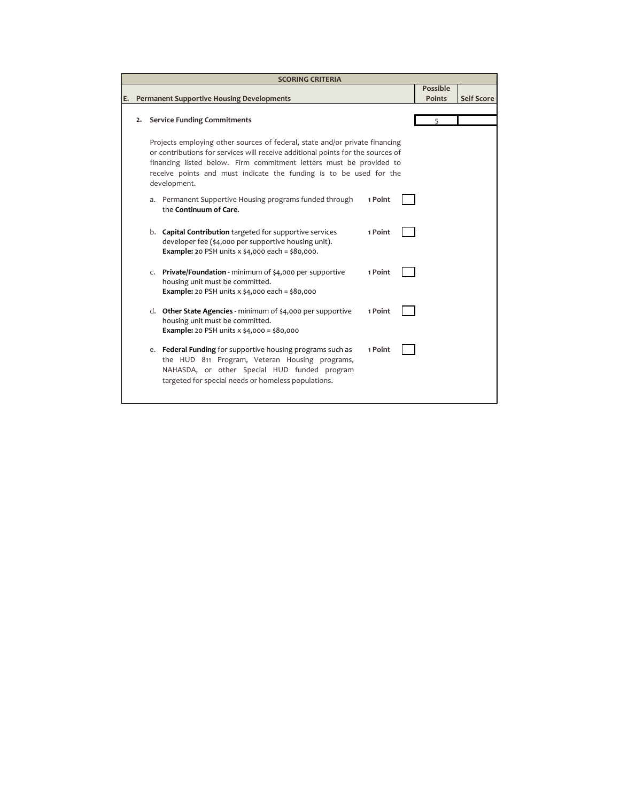| <b>SCORING CRITERIA</b>                                |                                                         |                                                                                 |         |  |          |                   |
|--------------------------------------------------------|---------------------------------------------------------|---------------------------------------------------------------------------------|---------|--|----------|-------------------|
|                                                        |                                                         |                                                                                 |         |  | Possible |                   |
| <b>Permanent Supportive Housing Developments</b><br>Е. |                                                         |                                                                                 |         |  |          | <b>Self Score</b> |
|                                                        |                                                         |                                                                                 |         |  |          |                   |
| 2. Service Funding Commitments                         |                                                         |                                                                                 |         |  | 5        |                   |
|                                                        |                                                         |                                                                                 |         |  |          |                   |
|                                                        |                                                         | Projects employing other sources of federal, state and/or private financing     |         |  |          |                   |
|                                                        |                                                         | or contributions for services will receive additional points for the sources of |         |  |          |                   |
|                                                        |                                                         | financing listed below. Firm commitment letters must be provided to             |         |  |          |                   |
|                                                        |                                                         | receive points and must indicate the funding is to be used for the              |         |  |          |                   |
|                                                        |                                                         | development.                                                                    |         |  |          |                   |
|                                                        |                                                         | a. Permanent Supportive Housing programs funded through                         | 1 Point |  |          |                   |
|                                                        |                                                         | the Continuum of Care.                                                          |         |  |          |                   |
|                                                        |                                                         |                                                                                 |         |  |          |                   |
|                                                        |                                                         | b. Capital Contribution targeted for supportive services                        | 1 Point |  |          |                   |
|                                                        |                                                         | developer fee (\$4,000 per supportive housing unit).                            |         |  |          |                   |
|                                                        | <b>Example: 20 PSH units x \$4,000 each = \$80,000.</b> |                                                                                 |         |  |          |                   |
|                                                        |                                                         |                                                                                 |         |  |          |                   |
|                                                        |                                                         | c. Private/Foundation - minimum of \$4,000 per supportive                       | 1 Point |  |          |                   |
|                                                        |                                                         | housing unit must be committed.                                                 |         |  |          |                   |
|                                                        |                                                         | <b>Example:</b> 20 PSH units $x$ \$4,000 each = \$80,000                        |         |  |          |                   |
|                                                        |                                                         |                                                                                 |         |  |          |                   |
|                                                        |                                                         | d. Other State Agencies - minimum of \$4,000 per supportive                     | 1 Point |  |          |                   |
|                                                        |                                                         | housing unit must be committed.                                                 |         |  |          |                   |
|                                                        |                                                         | <b>Example:</b> 20 PSH units x \$4,000 = \$80,000                               |         |  |          |                   |
|                                                        |                                                         | e. Federal Funding for supportive housing programs such as                      | 1 Point |  |          |                   |
| the HUD 811 Program, Veteran Housing programs,         |                                                         |                                                                                 |         |  |          |                   |
|                                                        |                                                         | NAHASDA, or other Special HUD funded program                                    |         |  |          |                   |
|                                                        |                                                         | targeted for special needs or homeless populations.                             |         |  |          |                   |
|                                                        |                                                         |                                                                                 |         |  |          |                   |
|                                                        |                                                         |                                                                                 |         |  |          |                   |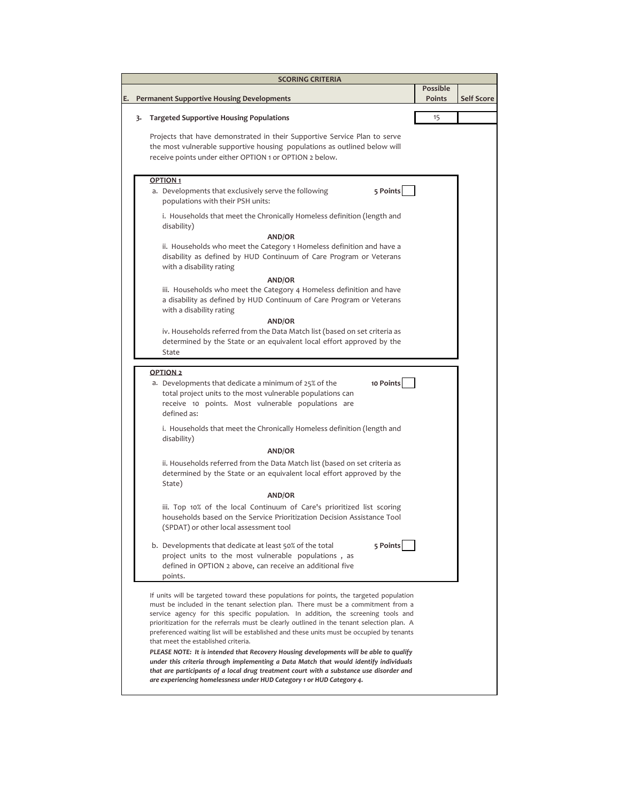|    |    | <b>SCORING CRITERIA</b>                                                                                                                                                                                                                                                                                                                                                                               |                 |                   |
|----|----|-------------------------------------------------------------------------------------------------------------------------------------------------------------------------------------------------------------------------------------------------------------------------------------------------------------------------------------------------------------------------------------------------------|-----------------|-------------------|
|    |    |                                                                                                                                                                                                                                                                                                                                                                                                       | <b>Possible</b> |                   |
| E. |    | <b>Permanent Supportive Housing Developments</b>                                                                                                                                                                                                                                                                                                                                                      | Points          | <b>Self Score</b> |
|    | 3. | <b>Targeted Supportive Housing Populations</b>                                                                                                                                                                                                                                                                                                                                                        | 15              |                   |
|    |    | Projects that have demonstrated in their Supportive Service Plan to serve<br>the most vulnerable supportive housing populations as outlined below will<br>receive points under either OPTION 1 or OPTION 2 below.                                                                                                                                                                                     |                 |                   |
|    |    | OPTION <sub>1</sub>                                                                                                                                                                                                                                                                                                                                                                                   |                 |                   |
|    |    | 5 Points<br>a. Developments that exclusively serve the following<br>populations with their PSH units:                                                                                                                                                                                                                                                                                                 |                 |                   |
|    |    | i. Households that meet the Chronically Homeless definition (length and<br>disability)                                                                                                                                                                                                                                                                                                                |                 |                   |
|    |    | AND/OR                                                                                                                                                                                                                                                                                                                                                                                                |                 |                   |
|    |    | ii. Households who meet the Category 1 Homeless definition and have a<br>disability as defined by HUD Continuum of Care Program or Veterans<br>with a disability rating                                                                                                                                                                                                                               |                 |                   |
|    |    | AND/OR                                                                                                                                                                                                                                                                                                                                                                                                |                 |                   |
|    |    | iii. Households who meet the Category 4 Homeless definition and have<br>a disability as defined by HUD Continuum of Care Program or Veterans<br>with a disability rating                                                                                                                                                                                                                              |                 |                   |
|    |    | AND/OR                                                                                                                                                                                                                                                                                                                                                                                                |                 |                   |
|    |    | iv. Households referred from the Data Match list (based on set criteria as<br>determined by the State or an equivalent local effort approved by the<br>State                                                                                                                                                                                                                                          |                 |                   |
|    |    |                                                                                                                                                                                                                                                                                                                                                                                                       |                 |                   |
|    |    | <b>OPTION 2</b><br>10 Points<br>a. Developments that dedicate a minimum of 25% of the<br>total project units to the most vulnerable populations can<br>receive 10 points. Most vulnerable populations are<br>defined as:                                                                                                                                                                              |                 |                   |
|    |    | i. Households that meet the Chronically Homeless definition (length and<br>disability)                                                                                                                                                                                                                                                                                                                |                 |                   |
|    |    | <b>AND/OR</b>                                                                                                                                                                                                                                                                                                                                                                                         |                 |                   |
|    |    | ii. Households referred from the Data Match list (based on set criteria as<br>determined by the State or an equivalent local effort approved by the<br>State)                                                                                                                                                                                                                                         |                 |                   |
|    |    | <b>AND/OR</b>                                                                                                                                                                                                                                                                                                                                                                                         |                 |                   |
|    |    | iii. Top 10% of the local Continuum of Care's prioritized list scoring<br>households based on the Service Prioritization Decision Assistance Tool<br>(SPDAT) or other local assessment tool                                                                                                                                                                                                           |                 |                   |
|    |    | 5 Points<br>b. Developments that dedicate at least 50% of the total<br>project units to the most vulnerable populations, as<br>defined in OPTION 2 above, can receive an additional five<br>points.                                                                                                                                                                                                   |                 |                   |
|    |    | If units will be targeted toward these populations for points, the targeted population                                                                                                                                                                                                                                                                                                                |                 |                   |
|    |    | must be included in the tenant selection plan. There must be a commitment from a<br>service agency for this specific population. In addition, the screening tools and<br>prioritization for the referrals must be clearly outlined in the tenant selection plan. A<br>preferenced waiting list will be established and these units must be occupied by tenants<br>that meet the established criteria. |                 |                   |
|    |    | PLEASE NOTE: It is intended that Recovery Housing developments will be able to qualify<br>under this criteria through implementing a Data Match that would identify individuals<br>that are participants of a local drug treatment court with a substance use disorder and<br>are experiencing homelessness under HUD Category 1 or HUD Category 4.                                                   |                 |                   |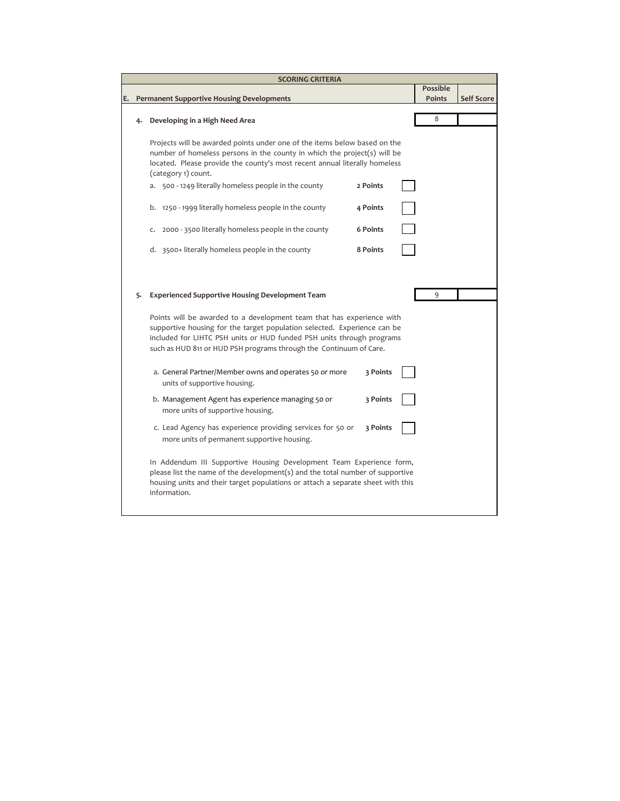|    | <b>SCORING CRITERIA</b>                                                                                                                                                                                                                                                                                                                                    |                 |                 |                   |
|----|------------------------------------------------------------------------------------------------------------------------------------------------------------------------------------------------------------------------------------------------------------------------------------------------------------------------------------------------------------|-----------------|-----------------|-------------------|
|    |                                                                                                                                                                                                                                                                                                                                                            |                 | <b>Possible</b> |                   |
|    | <b>Permanent Supportive Housing Developments</b>                                                                                                                                                                                                                                                                                                           |                 | Points          | <b>Self Score</b> |
| 4. | Developing in a High Need Area                                                                                                                                                                                                                                                                                                                             |                 | 8               |                   |
|    | Projects will be awarded points under one of the items below based on the<br>number of homeless persons in the county in which the project(s) will be<br>located. Please provide the county's most recent annual literally homeless<br>(category 1) count.<br>a. 500 - 1249 literally homeless people in the county                                        | 2 Points        |                 |                   |
|    | b. 1250 - 1999 literally homeless people in the county                                                                                                                                                                                                                                                                                                     | 4 Points        |                 |                   |
|    | 2000 - 3500 literally homeless people in the county<br>C.                                                                                                                                                                                                                                                                                                  | <b>6 Points</b> |                 |                   |
|    | d. 3500+ literally homeless people in the county                                                                                                                                                                                                                                                                                                           | 8 Points        |                 |                   |
| 5. | <b>Experienced Supportive Housing Development Team</b><br>Points will be awarded to a development team that has experience with<br>supportive housing for the target population selected. Experience can be<br>included for LIHTC PSH units or HUD funded PSH units through programs<br>such as HUD 811 or HUD PSH programs through the Continuum of Care. |                 | 9               |                   |
|    | a. General Partner/Member owns and operates 50 or more<br>units of supportive housing.                                                                                                                                                                                                                                                                     | 3 Points        |                 |                   |
|    | b. Management Agent has experience managing 50 or<br>more units of supportive housing.                                                                                                                                                                                                                                                                     | 3 Points        |                 |                   |
|    | c. Lead Agency has experience providing services for 50 or<br>more units of permanent supportive housing.                                                                                                                                                                                                                                                  | 3 Points        |                 |                   |
|    | In Addendum III Supportive Housing Development Team Experience form,<br>please list the name of the development(s) and the total number of supportive<br>housing units and their target populations or attach a separate sheet with this<br>information.                                                                                                   |                 |                 |                   |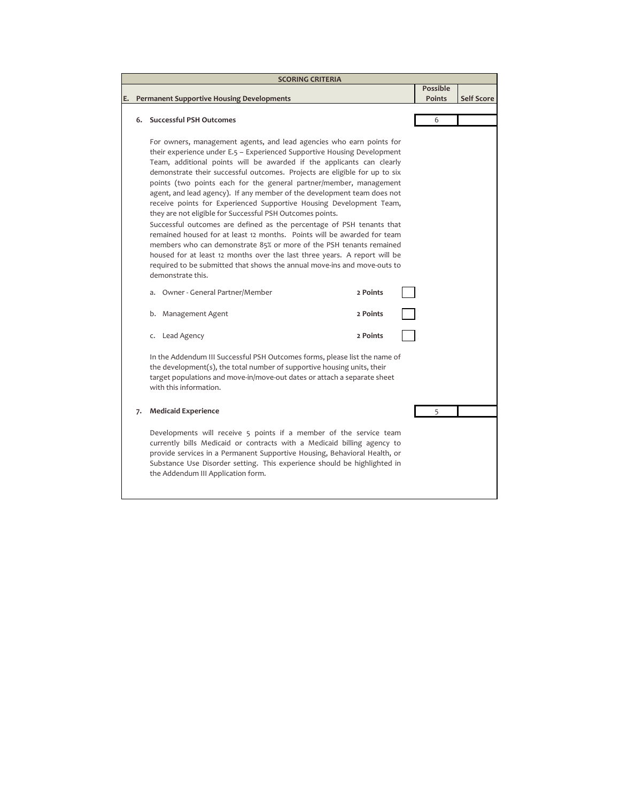|    |    | <b>SCORING CRITERIA</b>                                                                                                                                                                                                                                                                                                                                                                                                                                                                                                                                                                                                                                                                                                                                                                                                                                                                                                                                                                                                                                                                                                                                                                                                                                                                                                                                                                  |                 |                   |
|----|----|------------------------------------------------------------------------------------------------------------------------------------------------------------------------------------------------------------------------------------------------------------------------------------------------------------------------------------------------------------------------------------------------------------------------------------------------------------------------------------------------------------------------------------------------------------------------------------------------------------------------------------------------------------------------------------------------------------------------------------------------------------------------------------------------------------------------------------------------------------------------------------------------------------------------------------------------------------------------------------------------------------------------------------------------------------------------------------------------------------------------------------------------------------------------------------------------------------------------------------------------------------------------------------------------------------------------------------------------------------------------------------------|-----------------|-------------------|
|    |    |                                                                                                                                                                                                                                                                                                                                                                                                                                                                                                                                                                                                                                                                                                                                                                                                                                                                                                                                                                                                                                                                                                                                                                                                                                                                                                                                                                                          | <b>Possible</b> |                   |
| E. |    | <b>Permanent Supportive Housing Developments</b>                                                                                                                                                                                                                                                                                                                                                                                                                                                                                                                                                                                                                                                                                                                                                                                                                                                                                                                                                                                                                                                                                                                                                                                                                                                                                                                                         | Points          | <b>Self Score</b> |
|    |    |                                                                                                                                                                                                                                                                                                                                                                                                                                                                                                                                                                                                                                                                                                                                                                                                                                                                                                                                                                                                                                                                                                                                                                                                                                                                                                                                                                                          |                 |                   |
|    | 6. | <b>Successful PSH Outcomes</b>                                                                                                                                                                                                                                                                                                                                                                                                                                                                                                                                                                                                                                                                                                                                                                                                                                                                                                                                                                                                                                                                                                                                                                                                                                                                                                                                                           | 6               |                   |
|    |    | For owners, management agents, and lead agencies who earn points for<br>their experience under E.5 - Experienced Supportive Housing Development<br>Team, additional points will be awarded if the applicants can clearly<br>demonstrate their successful outcomes. Projects are eligible for up to six<br>points (two points each for the general partner/member, management<br>agent, and lead agency). If any member of the development team does not<br>receive points for Experienced Supportive Housing Development Team,<br>they are not eligible for Successful PSH Outcomes points.<br>Successful outcomes are defined as the percentage of PSH tenants that<br>remained housed for at least 12 months. Points will be awarded for team<br>members who can demonstrate 85% or more of the PSH tenants remained<br>housed for at least 12 months over the last three years. A report will be<br>required to be submitted that shows the annual move-ins and move-outs to<br>demonstrate this.<br>Owner - General Partner/Member<br>2 Points<br>a.<br>2 Points<br>b. Management Agent<br>2 Points<br>c. Lead Agency<br>In the Addendum III Successful PSH Outcomes forms, please list the name of<br>the development(s), the total number of supportive housing units, their<br>target populations and move-in/move-out dates or attach a separate sheet<br>with this information. |                 |                   |
|    |    | <b>Medicaid Experience</b>                                                                                                                                                                                                                                                                                                                                                                                                                                                                                                                                                                                                                                                                                                                                                                                                                                                                                                                                                                                                                                                                                                                                                                                                                                                                                                                                                               |                 |                   |
|    | 7. |                                                                                                                                                                                                                                                                                                                                                                                                                                                                                                                                                                                                                                                                                                                                                                                                                                                                                                                                                                                                                                                                                                                                                                                                                                                                                                                                                                                          | 5               |                   |
|    |    | Developments will receive 5 points if a member of the service team<br>currently bills Medicaid or contracts with a Medicaid billing agency to<br>provide services in a Permanent Supportive Housing, Behavioral Health, or<br>Substance Use Disorder setting. This experience should be highlighted in<br>the Addendum III Application form.                                                                                                                                                                                                                                                                                                                                                                                                                                                                                                                                                                                                                                                                                                                                                                                                                                                                                                                                                                                                                                             |                 |                   |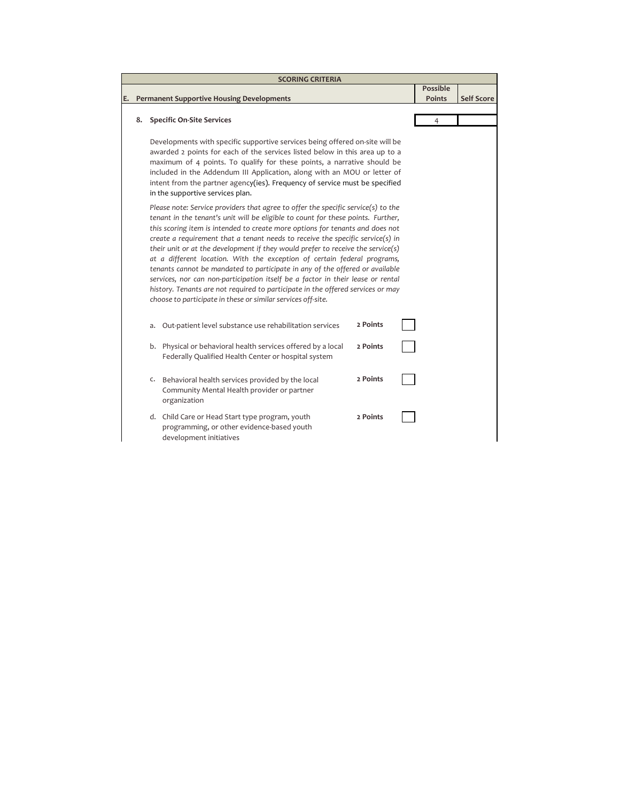|    |                                                                                                                                                                                                                                                                                                                                                                                                                                                                                                                                                                                                                                                                                                                                                                                                                               | <b>SCORING CRITERIA</b>                                                                                                                                                                                                                                                                                                                                                                                                               |          |               |                   |
|----|-------------------------------------------------------------------------------------------------------------------------------------------------------------------------------------------------------------------------------------------------------------------------------------------------------------------------------------------------------------------------------------------------------------------------------------------------------------------------------------------------------------------------------------------------------------------------------------------------------------------------------------------------------------------------------------------------------------------------------------------------------------------------------------------------------------------------------|---------------------------------------------------------------------------------------------------------------------------------------------------------------------------------------------------------------------------------------------------------------------------------------------------------------------------------------------------------------------------------------------------------------------------------------|----------|---------------|-------------------|
|    |                                                                                                                                                                                                                                                                                                                                                                                                                                                                                                                                                                                                                                                                                                                                                                                                                               |                                                                                                                                                                                                                                                                                                                                                                                                                                       | Possible |               |                   |
| Е. |                                                                                                                                                                                                                                                                                                                                                                                                                                                                                                                                                                                                                                                                                                                                                                                                                               | <b>Permanent Supportive Housing Developments</b>                                                                                                                                                                                                                                                                                                                                                                                      |          | <b>Points</b> | <b>Self Score</b> |
|    |                                                                                                                                                                                                                                                                                                                                                                                                                                                                                                                                                                                                                                                                                                                                                                                                                               |                                                                                                                                                                                                                                                                                                                                                                                                                                       |          | 4             |                   |
|    | <b>Specific On-Site Services</b><br>8.                                                                                                                                                                                                                                                                                                                                                                                                                                                                                                                                                                                                                                                                                                                                                                                        |                                                                                                                                                                                                                                                                                                                                                                                                                                       |          |               |                   |
|    |                                                                                                                                                                                                                                                                                                                                                                                                                                                                                                                                                                                                                                                                                                                                                                                                                               | Developments with specific supportive services being offered on-site will be<br>awarded 2 points for each of the services listed below in this area up to a<br>maximum of 4 points. To qualify for these points, a narrative should be<br>included in the Addendum III Application, along with an MOU or letter of<br>intent from the partner agency(ies). Frequency of service must be specified<br>in the supportive services plan. |          |               |                   |
|    | Please note: Service providers that agree to offer the specific service(s) to the<br>tenant in the tenant's unit will be eligible to count for these points. Further,<br>this scoring item is intended to create more options for tenants and does not<br>create a requirement that a tenant needs to receive the specific service(s) in<br>their unit or at the development if they would prefer to receive the service(s)<br>at a different location. With the exception of certain federal programs,<br>tenants cannot be mandated to participate in any of the offered or available<br>services, nor can non-participation itself be a factor in their lease or rental<br>history. Tenants are not required to participate in the offered services or may<br>choose to participate in these or similar services off-site. |                                                                                                                                                                                                                                                                                                                                                                                                                                       |          |               |                   |
|    |                                                                                                                                                                                                                                                                                                                                                                                                                                                                                                                                                                                                                                                                                                                                                                                                                               | Out-patient level substance use rehabilitation services<br>a.                                                                                                                                                                                                                                                                                                                                                                         | 2 Points |               |                   |
|    |                                                                                                                                                                                                                                                                                                                                                                                                                                                                                                                                                                                                                                                                                                                                                                                                                               | b. Physical or behavioral health services offered by a local<br>Federally Qualified Health Center or hospital system                                                                                                                                                                                                                                                                                                                  | 2 Points |               |                   |
|    |                                                                                                                                                                                                                                                                                                                                                                                                                                                                                                                                                                                                                                                                                                                                                                                                                               | Behavioral health services provided by the local<br>c.<br>Community Mental Health provider or partner<br>organization                                                                                                                                                                                                                                                                                                                 | 2 Points |               |                   |
|    |                                                                                                                                                                                                                                                                                                                                                                                                                                                                                                                                                                                                                                                                                                                                                                                                                               | d. Child Care or Head Start type program, youth<br>programming, or other evidence-based youth<br>development initiatives                                                                                                                                                                                                                                                                                                              | 2 Points |               |                   |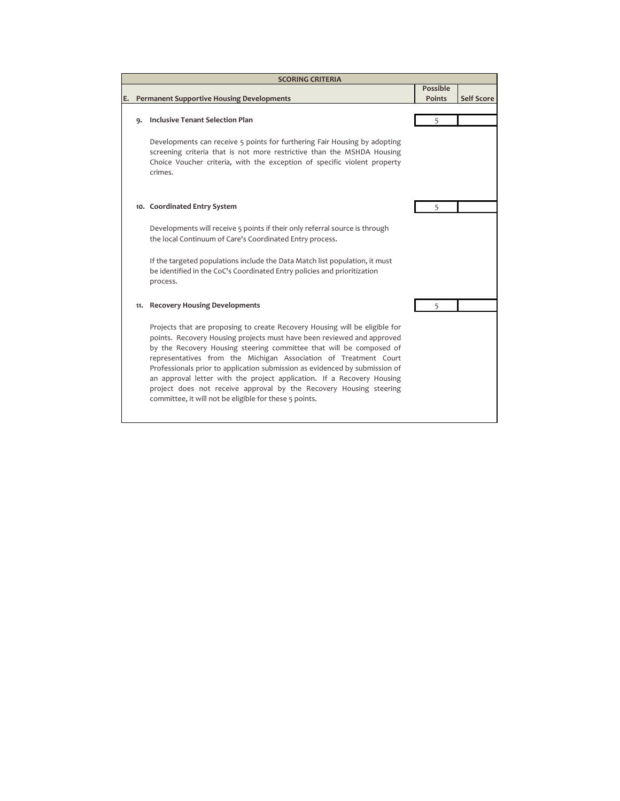|    | <b>SCORING CRITERIA</b>               |                                                                                                                                                                                                                                                                                                                                                                                                                                                                                                                                                                                           |                 |                   |  |  |
|----|---------------------------------------|-------------------------------------------------------------------------------------------------------------------------------------------------------------------------------------------------------------------------------------------------------------------------------------------------------------------------------------------------------------------------------------------------------------------------------------------------------------------------------------------------------------------------------------------------------------------------------------------|-----------------|-------------------|--|--|
|    |                                       |                                                                                                                                                                                                                                                                                                                                                                                                                                                                                                                                                                                           | <b>Possible</b> |                   |  |  |
| Е. |                                       | <b>Permanent Supportive Housing Developments</b>                                                                                                                                                                                                                                                                                                                                                                                                                                                                                                                                          | <b>Points</b>   | <b>Self Score</b> |  |  |
|    |                                       |                                                                                                                                                                                                                                                                                                                                                                                                                                                                                                                                                                                           |                 |                   |  |  |
|    | Inclusive Tenant Selection Plan<br>۹. |                                                                                                                                                                                                                                                                                                                                                                                                                                                                                                                                                                                           | 5               |                   |  |  |
|    |                                       | Developments can receive 5 points for furthering Fair Housing by adopting                                                                                                                                                                                                                                                                                                                                                                                                                                                                                                                 |                 |                   |  |  |
|    |                                       | screening criteria that is not more restrictive than the MSHDA Housing<br>Choice Voucher criteria, with the exception of specific violent property<br>crimes.                                                                                                                                                                                                                                                                                                                                                                                                                             |                 |                   |  |  |
|    |                                       | 10. Coordinated Entry System                                                                                                                                                                                                                                                                                                                                                                                                                                                                                                                                                              | 5               |                   |  |  |
|    |                                       |                                                                                                                                                                                                                                                                                                                                                                                                                                                                                                                                                                                           |                 |                   |  |  |
|    |                                       | Developments will receive 5 points if their only referral source is through<br>the local Continuum of Care's Coordinated Entry process.                                                                                                                                                                                                                                                                                                                                                                                                                                                   |                 |                   |  |  |
|    |                                       | If the targeted populations include the Data Match list population, it must<br>be identified in the CoC's Coordinated Entry policies and prioritization<br>process.                                                                                                                                                                                                                                                                                                                                                                                                                       |                 |                   |  |  |
|    | 11.                                   | <b>Recovery Housing Developments</b>                                                                                                                                                                                                                                                                                                                                                                                                                                                                                                                                                      | 5               |                   |  |  |
|    |                                       | Projects that are proposing to create Recovery Housing will be eligible for<br>points. Recovery Housing projects must have been reviewed and approved<br>by the Recovery Housing steering committee that will be composed of<br>representatives from the Michigan Association of Treatment Court<br>Professionals prior to application submission as evidenced by submission of<br>an approval letter with the project application. If a Recovery Housing<br>project does not receive approval by the Recovery Housing steering<br>committee, it will not be eligible for these 5 points. |                 |                   |  |  |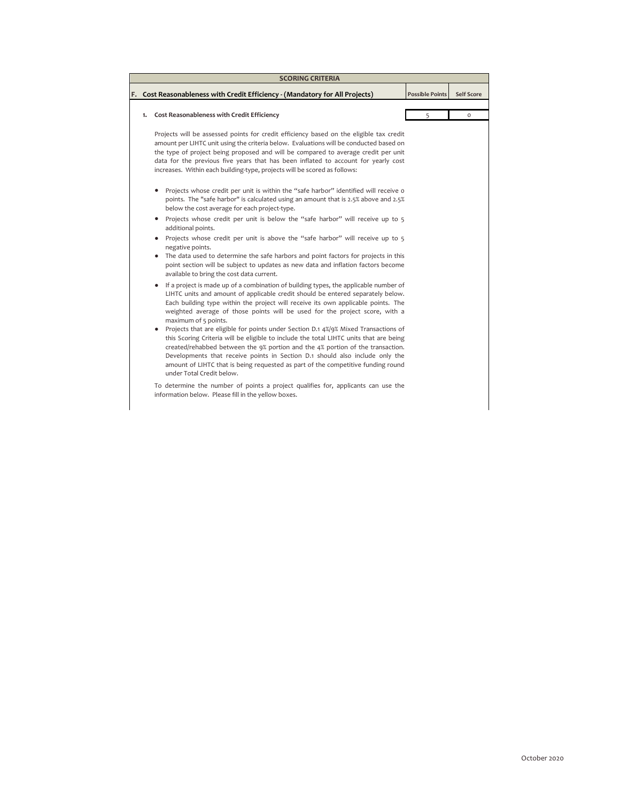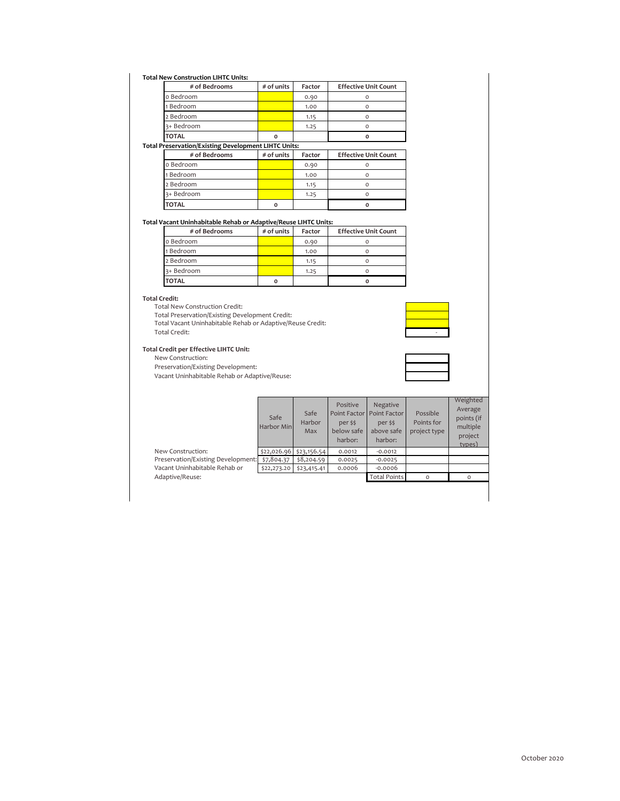## **Total New Construction LIHTC Units:**

|                                                             | # of Bedrooms | # of units   | Factor | <b>Effective Unit Count</b> |  |
|-------------------------------------------------------------|---------------|--------------|--------|-----------------------------|--|
|                                                             | o Bedroom     |              | 0.90   |                             |  |
|                                                             | 1 Bedroom     |              | 1.00   |                             |  |
|                                                             | 2 Bedroom     |              | 1.15   |                             |  |
|                                                             | 3+ Bedroom    |              | 1.25   |                             |  |
|                                                             | <b>TOTAL</b>  |              |        |                             |  |
| <b>Total Preservation/Existing Development LIHTC Units:</b> |               |              |        |                             |  |
|                                                             | # of Bedrooms | $#$ of units | Factor | <b>Effective Unit Count</b> |  |

| $\pi$ of bearvoins. | $\pi$ or units | i accoi | LUCCUVE ONL COUNT |
|---------------------|----------------|---------|-------------------|
| o Bedroom           |                | 0.90    |                   |
| 1 Bedroom           |                | 1.00    |                   |
| 2 Bedroom           |                | 1.15    |                   |
| 3+ Bedroom          |                | 1.25    |                   |
| <b>TOTAL</b>        | O              |         |                   |

## **Total Vacant Uninhabitable Rehab or Adaptive/Reuse LIHTC Units:**

| # of Bedrooms | $#$ of units | Factor | <b>Effective Unit Count</b> |
|---------------|--------------|--------|-----------------------------|
| o Bedroom     |              | 0.90   |                             |
| 1 Bedroom     |              | 1.00   |                             |
| 2 Bedroom     |              | 1.15   |                             |
| 3+ Bedroom    |              | 1.25   |                             |
| <b>TOTAL</b>  | O            |        |                             |

## **Total Credit:**

Total New Construction Credit:

Total Preservation/Existing Development Credit:

Total Vacant Uninhabitable Rehab or Adaptive/Reuse Credit:

Total Credit:

## **Total Credit per Effective LIHTC Unit:**

New Construction:

Preservation/Existing Development:



|                                    | Safe<br>Harbor Min      | Safe<br>Harbor<br>Max | Positive<br>Point Factor<br>per \$\$<br>below safe<br>harbor: | Negative<br>Point Factor<br>per \$\$<br>above safe<br>harbor: | Possible<br>Points for<br>project type | Weighted<br>Average<br>points (if<br>multiple<br>project<br>types) |
|------------------------------------|-------------------------|-----------------------|---------------------------------------------------------------|---------------------------------------------------------------|----------------------------------------|--------------------------------------------------------------------|
| New Construction:                  | \$22,026.96 \$23,156.54 |                       | 0.0012                                                        | $-0.0012$                                                     |                                        |                                                                    |
| Preservation/Existing Development: | \$7,804.37              | \$8,204.59            | 0.0025                                                        | $-0.0025$                                                     |                                        |                                                                    |
| Vacant Uninhabitable Rehab or      | \$22,273.20             | \$23,415.41           | 0.0006                                                        | $-0.0006$                                                     |                                        |                                                                    |
| Adaptive/Reuse:                    |                         |                       |                                                               | <b>Total Points</b>                                           | $\Omega$                               | $\Omega$                                                           |
|                                    |                         |                       |                                                               |                                                               |                                        |                                                                    |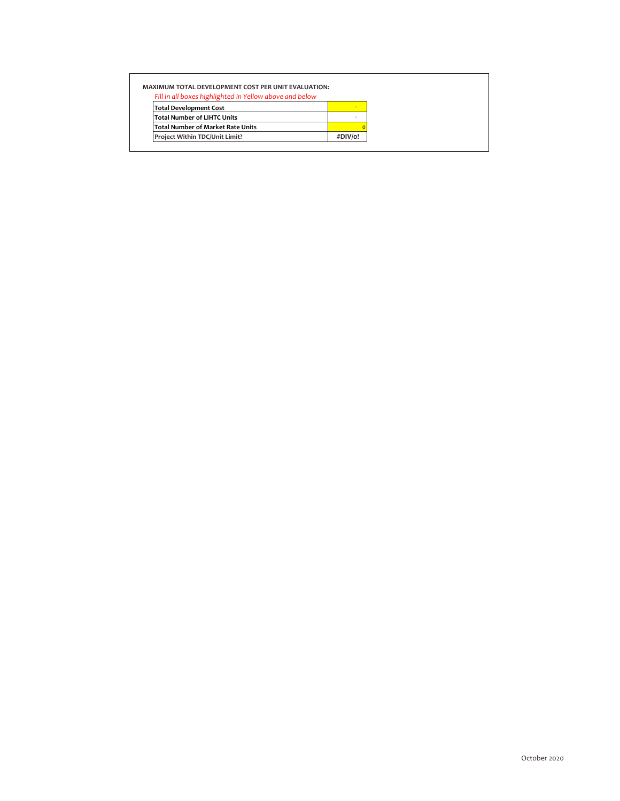| <b>MAXIMUM TOTAL DEVELOPMENT COST PER UNIT EVALUATION:</b> |         |  |
|------------------------------------------------------------|---------|--|
| Fill in all boxes highlighted in Yellow above and below    |         |  |
| <b>Total Development Cost</b>                              |         |  |
| <b>Total Number of LIHTC Units</b>                         |         |  |
| <b>Total Number of Market Rate Units</b>                   |         |  |
| Project Within TDC/Unit Limit?                             | #DIV/o! |  |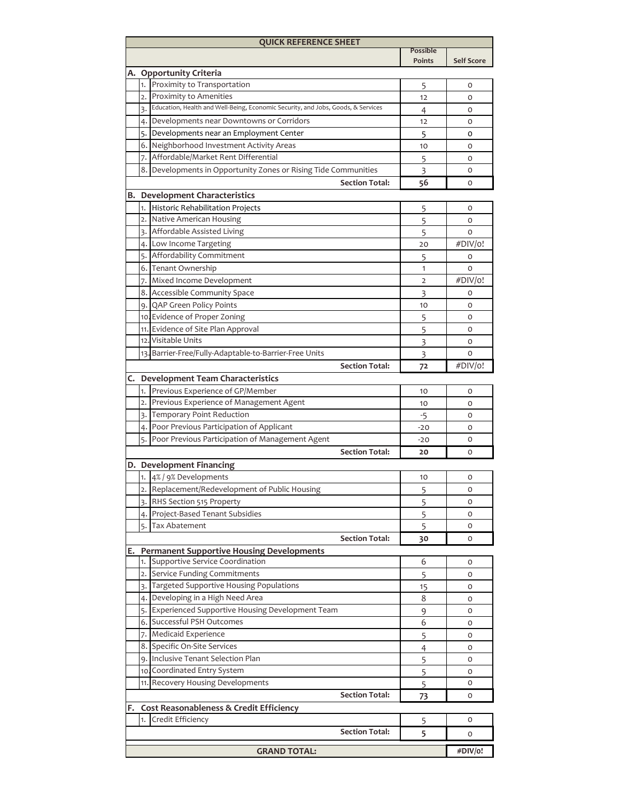|                             |                                  | <b>QUICK REFERENCE SHEET</b>                                                                                  |                    |                   |  |  |  |  |
|-----------------------------|----------------------------------|---------------------------------------------------------------------------------------------------------------|--------------------|-------------------|--|--|--|--|
|                             |                                  |                                                                                                               | Possible<br>Points | <b>Self Score</b> |  |  |  |  |
|                             |                                  |                                                                                                               |                    |                   |  |  |  |  |
| А.                          |                                  | <b>Opportunity Criteria</b>                                                                                   |                    |                   |  |  |  |  |
|                             | 1.                               | Proximity to Transportation                                                                                   | 5                  | o                 |  |  |  |  |
|                             | 2.1                              | Proximity to Amenities<br>3. Education, Health and Well-Being, Economic Security, and Jobs, Goods, & Services | 12                 | O                 |  |  |  |  |
|                             |                                  |                                                                                                               | 4                  | o                 |  |  |  |  |
|                             |                                  | 4. Developments near Downtowns or Corridors                                                                   | 12                 | o                 |  |  |  |  |
|                             |                                  | 5. Developments near an Employment Center                                                                     | 5                  | 0                 |  |  |  |  |
|                             |                                  | 6. Neighborhood Investment Activity Areas                                                                     | 10                 | 0                 |  |  |  |  |
|                             | 7. I                             | Affordable/Market Rent Differential                                                                           | 5                  | 0                 |  |  |  |  |
|                             | 8. I                             | Developments in Opportunity Zones or Rising Tide Communities                                                  | 3                  | o                 |  |  |  |  |
|                             | <b>Section Total:</b><br>56<br>O |                                                                                                               |                    |                   |  |  |  |  |
| в.                          |                                  | <b>Development Characteristics</b>                                                                            |                    |                   |  |  |  |  |
|                             | 1.                               | Historic Rehabilitation Projects                                                                              | 5                  | 0                 |  |  |  |  |
|                             | 2.1                              | Native American Housing                                                                                       | 5                  | 0                 |  |  |  |  |
|                             | 3.1                              | Affordable Assisted Living                                                                                    | 5                  | 0                 |  |  |  |  |
|                             |                                  | 4. Low Income Targeting                                                                                       | 20                 | #DIV/o!           |  |  |  |  |
|                             | 5.                               | Affordability Commitment                                                                                      | 5                  | O                 |  |  |  |  |
|                             |                                  | 6. Tenant Ownership                                                                                           | 1                  | 0                 |  |  |  |  |
|                             | 7.                               | Mixed Income Development                                                                                      | 2                  | #DIV/o!           |  |  |  |  |
|                             |                                  | 8. Accessible Community Space                                                                                 | 3                  | o                 |  |  |  |  |
|                             |                                  | 9. QAP Green Policy Points                                                                                    | 10                 | 0                 |  |  |  |  |
|                             |                                  | 10. Evidence of Proper Zoning                                                                                 | 5                  | 0                 |  |  |  |  |
|                             |                                  | 11. Evidence of Site Plan Approval                                                                            | 5                  | 0                 |  |  |  |  |
|                             |                                  | 12. Visitable Units                                                                                           | 3                  | 0                 |  |  |  |  |
|                             |                                  | 13. Barrier-Free/Fully-Adaptable-to-Barrier-Free Units                                                        | 3                  | 0                 |  |  |  |  |
|                             |                                  | <b>Section Total:</b>                                                                                         | 72                 | #DIV/o!           |  |  |  |  |
| C.                          |                                  | <b>Development Team Characteristics</b>                                                                       |                    |                   |  |  |  |  |
|                             |                                  |                                                                                                               |                    |                   |  |  |  |  |
|                             | 1.<br>2.1                        | Previous Experience of GP/Member                                                                              | 10                 | $\circ$           |  |  |  |  |
|                             |                                  | Previous Experience of Management Agent                                                                       | 10                 | O                 |  |  |  |  |
|                             |                                  | 3. Temporary Point Reduction                                                                                  | $-5$               | O                 |  |  |  |  |
|                             | 4.1                              | Poor Previous Participation of Applicant                                                                      | -20                | O                 |  |  |  |  |
|                             | 5. I                             | Poor Previous Participation of Management Agent                                                               | $-20$              | O<br>o            |  |  |  |  |
| <b>Section Total:</b><br>20 |                                  |                                                                                                               |                    |                   |  |  |  |  |
|                             |                                  | D. Development Financing                                                                                      |                    |                   |  |  |  |  |
|                             |                                  | 1. 4% / 9% Developments                                                                                       | 10                 | 0                 |  |  |  |  |
|                             |                                  | Replacement/Redevelopment of Public Housing                                                                   | 5                  | 0                 |  |  |  |  |
|                             |                                  | RHS Section 515 Property                                                                                      | 5                  | O                 |  |  |  |  |
|                             |                                  | 4. Project-Based Tenant Subsidies                                                                             | 5                  | 0                 |  |  |  |  |
|                             | 5.                               | Tax Abatement                                                                                                 | 5                  | 0                 |  |  |  |  |
|                             |                                  | <b>Section Total:</b>                                                                                         | 30                 | 0                 |  |  |  |  |
| E.                          |                                  | <b>Permanent Supportive Housing Developments</b>                                                              |                    |                   |  |  |  |  |
|                             | 1.                               | Supportive Service Coordination                                                                               | 6                  | 0                 |  |  |  |  |
|                             |                                  | 2. Service Funding Commitments                                                                                | 5                  | 0                 |  |  |  |  |
|                             |                                  | 3. Targeted Supportive Housing Populations                                                                    | 15                 | 0                 |  |  |  |  |
|                             | 4.1                              | Developing in a High Need Area                                                                                | 8                  | 0                 |  |  |  |  |
|                             |                                  | 5. Experienced Supportive Housing Development Team                                                            | 9                  | 0                 |  |  |  |  |
|                             |                                  | 6. Successful PSH Outcomes                                                                                    | 6                  | 0                 |  |  |  |  |
|                             |                                  | 7. Medicaid Experience                                                                                        | 5                  | 0                 |  |  |  |  |
|                             |                                  | 8. Specific On-Site Services                                                                                  | $\overline{4}$     | 0                 |  |  |  |  |
|                             |                                  | 9. Inclusive Tenant Selection Plan                                                                            | 5                  | 0                 |  |  |  |  |
|                             |                                  | 10. Coordinated Entry System                                                                                  | 5                  | 0                 |  |  |  |  |
|                             |                                  | 11. Recovery Housing Developments                                                                             | 5                  | 0                 |  |  |  |  |
|                             |                                  | <b>Section Total:</b>                                                                                         | 73                 | O                 |  |  |  |  |
| F.                          |                                  | Cost Reasonableness & Credit Efficiency                                                                       |                    |                   |  |  |  |  |
|                             | 1.                               | Credit Efficiency                                                                                             | 5                  | 0                 |  |  |  |  |
|                             |                                  | <b>Section Total:</b>                                                                                         | 5                  | O                 |  |  |  |  |
|                             |                                  |                                                                                                               |                    |                   |  |  |  |  |
| <b>GRAND TOTAL:</b>         |                                  |                                                                                                               |                    |                   |  |  |  |  |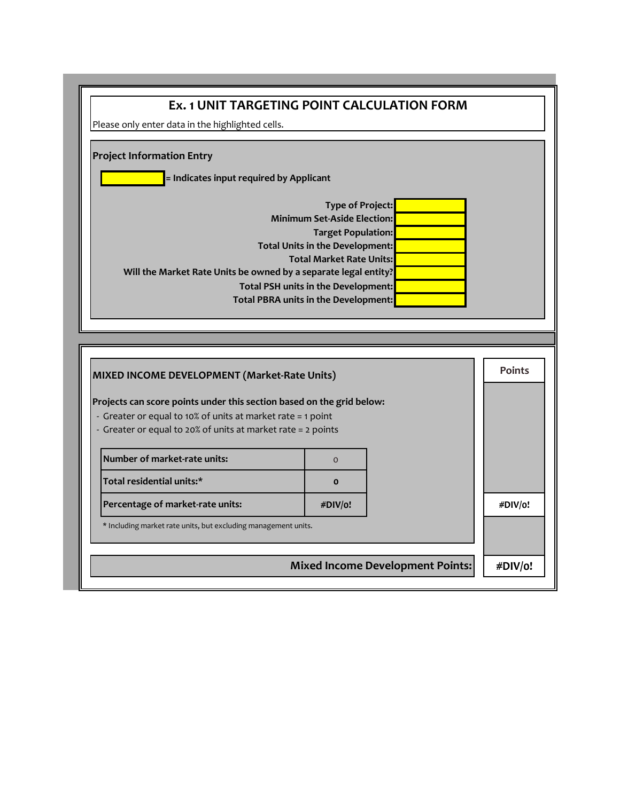| Please only enter data in the highlighted cells.                                                                                                                                                                                                     |                                     |  |               |  |  |  |
|------------------------------------------------------------------------------------------------------------------------------------------------------------------------------------------------------------------------------------------------------|-------------------------------------|--|---------------|--|--|--|
|                                                                                                                                                                                                                                                      |                                     |  |               |  |  |  |
| <b>Project Information Entry</b>                                                                                                                                                                                                                     |                                     |  |               |  |  |  |
|                                                                                                                                                                                                                                                      |                                     |  |               |  |  |  |
| = Indicates input required by Applicant                                                                                                                                                                                                              |                                     |  |               |  |  |  |
| <b>Type of Project:</b>                                                                                                                                                                                                                              |                                     |  |               |  |  |  |
| <b>Minimum Set-Aside Election:</b>                                                                                                                                                                                                                   |                                     |  |               |  |  |  |
| <b>Target Population:</b><br>Total Units in the Development:                                                                                                                                                                                         |                                     |  |               |  |  |  |
| <b>Total Market Rate Units:</b>                                                                                                                                                                                                                      |                                     |  |               |  |  |  |
| Will the Market Rate Units be owned by a separate legal entity?                                                                                                                                                                                      |                                     |  |               |  |  |  |
|                                                                                                                                                                                                                                                      | Total PSH units in the Development: |  |               |  |  |  |
| Total PBRA units in the Development:                                                                                                                                                                                                                 |                                     |  |               |  |  |  |
|                                                                                                                                                                                                                                                      |                                     |  |               |  |  |  |
|                                                                                                                                                                                                                                                      |                                     |  |               |  |  |  |
|                                                                                                                                                                                                                                                      |                                     |  |               |  |  |  |
|                                                                                                                                                                                                                                                      |                                     |  |               |  |  |  |
|                                                                                                                                                                                                                                                      |                                     |  | <b>Points</b> |  |  |  |
|                                                                                                                                                                                                                                                      |                                     |  |               |  |  |  |
|                                                                                                                                                                                                                                                      |                                     |  |               |  |  |  |
| MIXED INCOME DEVELOPMENT (Market-Rate Units)<br>Projects can score points under this section based on the grid below:<br>- Greater or equal to 10% of units at market rate = 1 point<br>- Greater or equal to 20% of units at market rate = 2 points |                                     |  |               |  |  |  |
|                                                                                                                                                                                                                                                      |                                     |  |               |  |  |  |
| Number of market-rate units:                                                                                                                                                                                                                         | $\Omega$                            |  |               |  |  |  |
| Total residential units:*                                                                                                                                                                                                                            | $\Omega$                            |  |               |  |  |  |
| Percentage of market-rate units:                                                                                                                                                                                                                     | #DIV/o!                             |  |               |  |  |  |
| * Including market rate units, but excluding management units.                                                                                                                                                                                       |                                     |  | #DIV/o!       |  |  |  |
|                                                                                                                                                                                                                                                      |                                     |  |               |  |  |  |